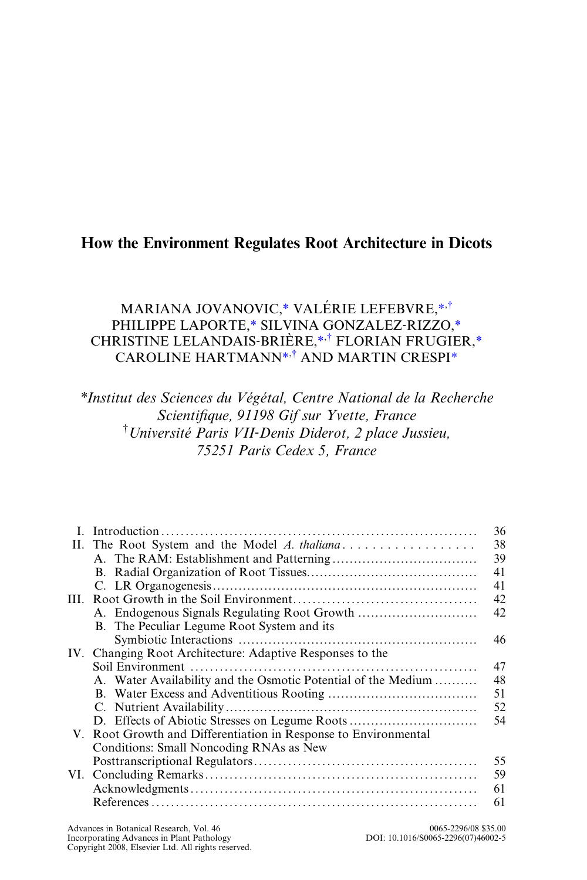# How the Environment Regulates Root Architecture in Dicots

# MARIANA JOVANOVIC,\* VALÉRIE LEFEBVRE,\*<sup>,†</sup> PHILIPPE LAPORTE,\* SILVINA GONZALEZ‐RIZZO,\* CHRISTINE LELANDAIS-BRIÈRE, \*\*\* FLORIAN FRUGIER, \* CAROLINE HARTMANN<sup>\*,†</sup> AND MARTIN CRESPI\*

\*Institut des Sciences du Végétal, Centre National de la Recherche Scientifique, 91198 Gif sur Yvette, France <sup>†</sup> Université Paris VII-Denis Diderot, 2 place Jussieu, 75251 Paris Cedex 5, France

|    |                                                                 | 36 |
|----|-----------------------------------------------------------------|----|
| П. |                                                                 | 38 |
|    |                                                                 | 39 |
|    |                                                                 | 41 |
|    |                                                                 | 41 |
|    |                                                                 | 42 |
|    |                                                                 | 42 |
|    | B. The Peculiar Legume Root System and its                      |    |
|    |                                                                 | 46 |
|    | IV. Changing Root Architecture: Adaptive Responses to the       |    |
|    |                                                                 | 47 |
|    | A. Water Availability and the Osmotic Potential of the Medium   | 48 |
|    |                                                                 | 51 |
|    |                                                                 | 52 |
|    |                                                                 | 54 |
|    | V. Root Growth and Differentiation in Response to Environmental |    |
|    | Conditions: Small Noncoding RNAs as New                         |    |
|    |                                                                 | 55 |
|    |                                                                 | 59 |
|    |                                                                 | 61 |
|    |                                                                 | 61 |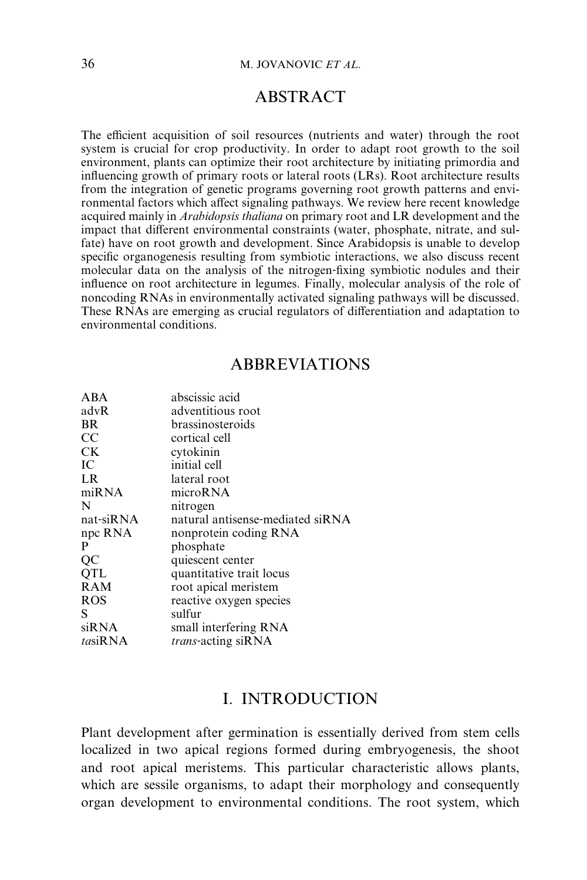## 36 M. JOVANOVIC ET AL.

# ABSTRACT

The efficient acquisition of soil resources (nutrients and water) through the root system is crucial for crop productivity. In order to adapt root growth to the soil environment, plants can optimize their root architecture by initiating primordia and influencing growth of primary roots or lateral roots (LRs). Root architecture results from the integration of genetic programs governing root growth patterns and environmental factors which affect signaling pathways. We review here recent knowledge acquired mainly in Arabidopsis thaliana on primary root and LR development and the impact that different environmental constraints (water, phosphate, nitrate, and sulfate) have on root growth and development. Since Arabidopsis is unable to develop specific organogenesis resulting from symbiotic interactions, we also discuss recent molecular data on the analysis of the nitrogen-fixing symbiotic nodules and their influence on root architecture in legumes. Finally, molecular analysis of the role of noncoding RNAs in environmentally activated signaling pathways will be discussed. These RNAs are emerging as crucial regulators of differentiation and adaptation to environmental conditions.

## ABBREVIATIONS

| abscissic acid                   |
|----------------------------------|
| adventitious root                |
| brassinosteroids                 |
| cortical cell                    |
| cytokinin                        |
| initial cell                     |
| lateral root                     |
| microRNA                         |
| nitrogen                         |
| natural antisense-mediated siRNA |
| nonprotein coding RNA            |
| phosphate                        |
| quiescent center                 |
| quantitative trait locus         |
| root apical meristem             |
| reactive oxygen species          |
| sulfur                           |
| small interfering RNA            |
| <i>trans</i> -acting siRNA       |
|                                  |

## I. INTRODUCTION

Plant development after germination is essentially derived from stem cells localized in two apical regions formed during embryogenesis, the shoot and root apical meristems. This particular characteristic allows plants, which are sessile organisms, to adapt their morphology and consequently organ development to environmental conditions. The root system, which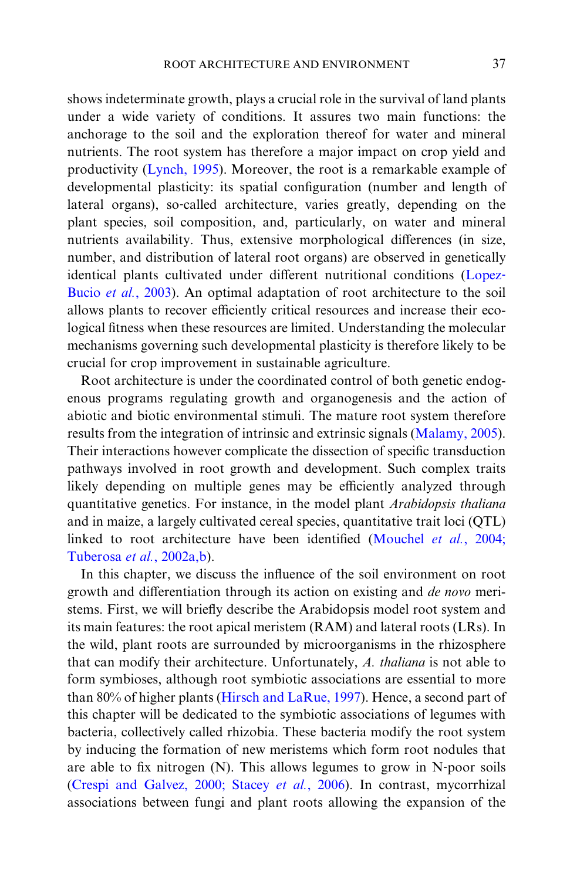shows indeterminate growth, plays a crucial role in the survival of land plants under a wide variety of conditions. It assures two main functions: the anchorage to the soil and the exploration thereof for water and mineral nutrients. The root system has therefore a major impact on crop yield and productivity [\(Lynch,](#page-27-0) 1995). Moreover, the root is a remarkable example of developmental plasticity: its spatial configuration (number and length of lateral organs), so-called architecture, varies greatly, depending on the plant species, soil composition, and, particularly, on water and mineral nutrients availability. Thus, extensive morphological differences (in size, number, and distribution of lateral root organs) are observed in genetically identical plants cultivated under different nutritional conditions ([Lopez](#page-27-0)-[Bucio](#page-27-0) et al., 2003). An optimal adaptation of root architecture to the soil allows plants to recover efficiently critical resources and increase their ecological fitness when these resources are limited. Understanding the molecular mechanisms governing such developmental plasticity is therefore likely to be crucial for crop improvement in sustainable agriculture.

Root architecture is under the coordinated control of both genetic endogenous programs regulating growth and organogenesis and the action of abiotic and biotic environmental stimuli. The mature root system therefore results from the integration of intrinsic and extrinsic signals ([Malamy,](#page-27-0) 2005). Their interactions however complicate the dissection of specific transduction pathways involved in root growth and development. Such complex traits likely depending on multiple genes may be efficiently analyzed through quantitative genetics. For instance, in the model plant Arabidopsis thaliana and in maize, a largely cultivated cereal species, quantitative trait loci (QTL) linked to root architecture have been identified [\(Mouchel](#page-27-0) et al., 2004; [Tuberosa](#page-27-0) et al., 2002a,b).

In this chapter, we discuss the influence of the soil environment on root growth and differentiation through its action on existing and *de novo* meristems. First, we will briefly describe the Arabidopsis model root system and its main features: the root apical meristem (RAM) and lateral roots (LRs). In the wild, plant roots are surrounded by microorganisms in the rhizosphere that can modify their architecture. Unfortunately, A. thaliana is not able to form symbioses, although root symbiotic associations are essential to more than 80% of higher plants (Hirsch and [LaRue,](#page-27-0) 1997). Hence, a second part of this chapter will be dedicated to the symbiotic associations of legumes with bacteria, collectively called rhizobia. These bacteria modify the root system by inducing the formation of new meristems which form root nodules that are able to fix nitrogen (N). This allows legumes to grow in N‐poor soils (Crespi and [Galvez,](#page-27-0) 2000; Stacey et al., 2006). In contrast, mycorrhizal associations between fungi and plant roots allowing the expansion of the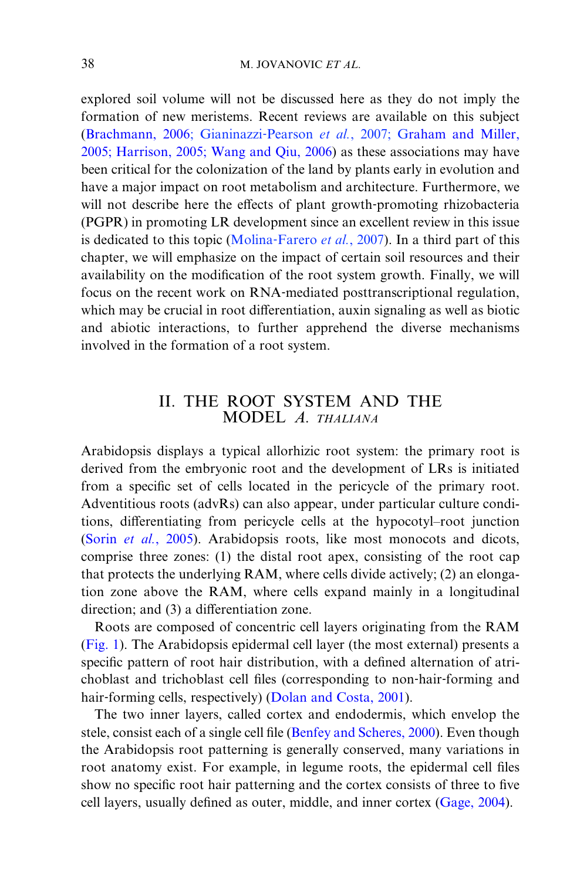explored soil volume will not be discussed here as they do not imply the formation of new meristems. Recent reviews are available on this subject [\(Brachmann,](#page-27-0) 2006; Gianinazzi‐Pearson et al., 2007; Graham and Miller, 2005; [Harrison,](#page-28-0) 2005; Wang and Qiu, 2006) as these associations may have been critical for the colonization of the land by plants early in evolution and have a major impact on root metabolism and architecture. Furthermore, we will not describe here the effects of plant growth-promoting rhizobacteria (PGPR) in promoting LR development since an excellent review in this issue is dedicated to this topic ([Molina](#page-34-0)‐Farero et al., 2007). In a third part of this chapter, we will emphasize on the impact of certain soil resources and their availability on the modification of the root system growth. Finally, we will focus on the recent work on RNA‐mediated posttranscriptional regulation, which may be crucial in root differentiation, auxin signaling as well as biotic and abiotic interactions, to further apprehend the diverse mechanisms involved in the formation of a root system.

# II. THE ROOT SYSTEM AND THE MODEL A. THALIANA

Arabidopsis displays a typical allorhizic root system: the primary root is derived from the embryonic root and the development of LRs is initiated from a specific set of cells located in the pericycle of the primary root. Adventitious roots (advRs) can also appear, under particular culture conditions, differentiating from pericycle cells at the hypocotyl–root junction [\(Sorin](#page-27-0) et al., 2005). Arabidopsis roots, like most monocots and dicots, comprise three zones: (1) the distal root apex, consisting of the root cap that protects the underlying RAM, where cells divide actively; (2) an elongation zone above the RAM, where cells expand mainly in a longitudinal direction; and (3) a differentiation zone.

Roots are composed of concentric cell layers originating from the RAM [\(Fig.](#page-27-0) 1). The Arabidopsis epidermal cell layer (the most external) presents a specific pattern of root hair distribution, with a defined alternation of atrichoblast and trichoblast cell files (corresponding to non‐hair‐forming and hair-forming cells, respectively) (Dolan and [Costa,](#page-27-0) 2001).

The two inner layers, called cortex and endodermis, which envelop the stele, consist each of a single cell file (Benfey and [Scheres,](#page-27-0) 2000). Even though the Arabidopsis root patterning is generally conserved, many variations in root anatomy exist. For example, in legume roots, the epidermal cell files show no specific root hair patterning and the cortex consists of three to five cell layers, usually defined as outer, middle, and inner cortex ([Gage,](#page-27-0) 2004).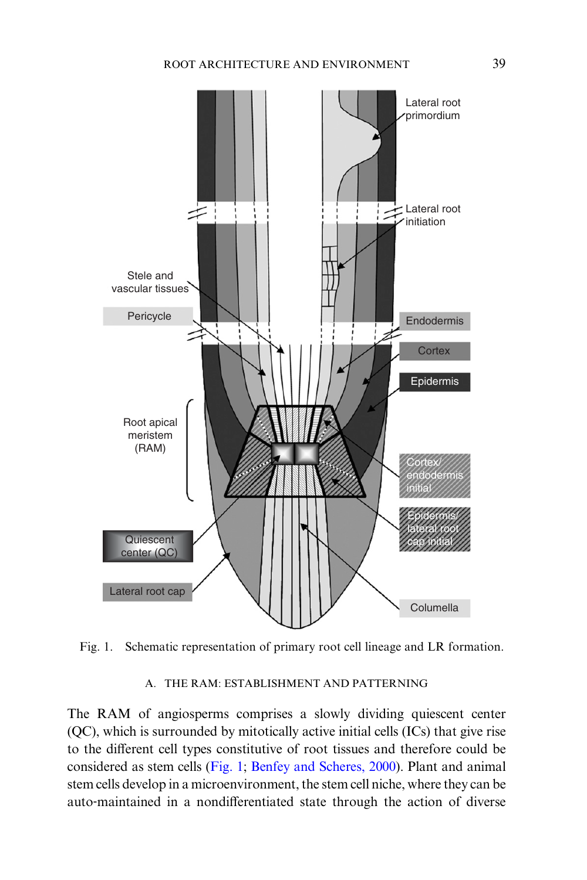

Fig. 1. Schematic representation of primary root cell lineage and LR formation.

#### A. THE RAM: ESTABLISHMENT AND PATTERNING

The RAM of angiosperms comprises a slowly dividing quiescent center (QC), which is surrounded by mitotically active initial cells (ICs) that give rise to the different cell types constitutive of root tissues and therefore could be considered as stem cells (Fig. 1; Benfey and [Scheres,](#page-27-0) 2000). Plant and animal stem cells develop in a microenvironment, the stem cell niche, where they can be auto-maintained in a nondifferentiated state through the action of diverse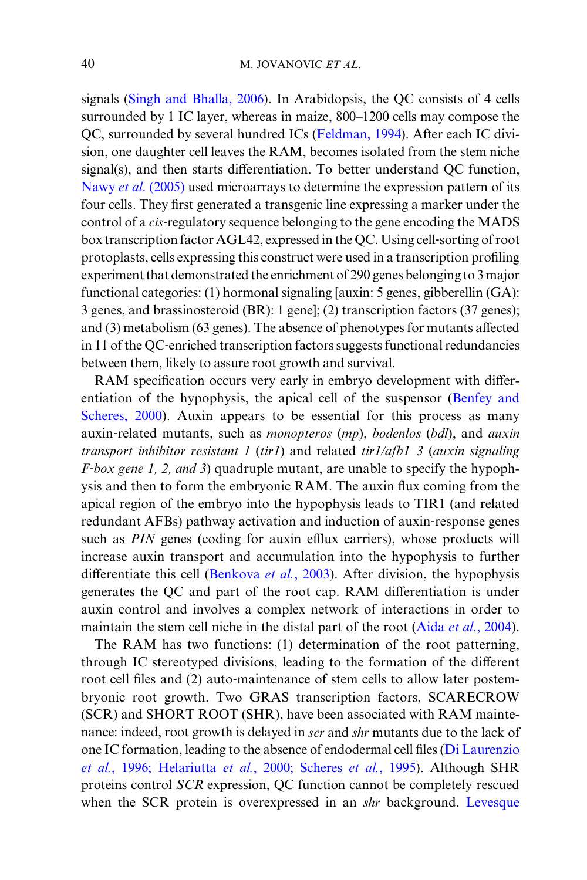signals (Singh and [Bhalla,](#page-27-0) 2006). In Arabidopsis, the QC consists of 4 cells surrounded by 1 IC layer, whereas in maize, 800–1200 cells may compose the QC, surrounded by several hundred ICs [\(Feldman,](#page-27-0) 1994). After each IC division, one daughter cell leaves the RAM, becomes isolated from the stem niche signal(s), and then starts differentiation. To better understand QC function, Nawy et al. [\(2005\)](#page-35-0) used microarrays to determine the expression pattern of its four cells. They first generated a transgenic line expressing a marker under the control of a *cis*-regulatory sequence belonging to the gene encoding the MADS box transcription factor AGL42, expressed in the QC. Using cell-sorting of root protoplasts, cells expressing this construct were used in a transcription profiling experiment that demonstrated the enrichment of 290 genes belonging to 3 major functional categories: (1) hormonal signaling [auxin: 5 genes, gibberellin (GA): 3 genes, and brassinosteroid (BR): 1 gene]; (2) transcription factors (37 genes); and  $(3)$  metabolism  $(63$  genes). The absence of phenotypes for mutants affected in 11 of the QC-enriched transcription factors suggests functional redundancies between them, likely to assure root growth and survival.

RAM specification occurs very early in embryo development with differentiation of the hypophysis, the apical cell of the suspensor ([Benfey](#page-27-0) and [Scheres,](#page-27-0) 2000). Auxin appears to be essential for this process as many auxin‐related mutants, such as monopteros (mp), bodenlos (bdl), and auxin transport inhibitor resistant  $1$  (tir1) and related tir1/afb1-3 (auxin signaling  $F$ -box gene 1, 2, and 3) quadruple mutant, are unable to specify the hypophysis and then to form the embryonic RAM. The auxin flux coming from the apical region of the embryo into the hypophysis leads to TIR1 (and related redundant AFBs) pathway activation and induction of auxin‐response genes such as PIN genes (coding for auxin efflux carriers), whose products will increase auxin transport and accumulation into the hypophysis to further differentiate this cell ([Benkova](#page-27-0) et al., 2003). After division, the hypophysis generates the QC and part of the root cap. RAM differentiation is under auxin control and involves a complex network of interactions in order to maintain the stem cell niche in the distal part of the root [\(Aida](#page-27-0) et al., 2004).

The RAM has two functions: (1) determination of the root patterning, through IC stereotyped divisions, leading to the formation of the different root cell files and (2) auto-maintenance of stem cells to allow later postembryonic root growth. Two GRAS transcription factors, SCARECROW (SCR) and SHORT ROOT (SHR), have been associated with RAM maintenance: indeed, root growth is delayed in scr and shr mutants due to the lack of one IC formation, leading to the absence of endodermal cell files(Di [Laurenzio](#page-27-0) et al., 1996; [Helariutta](#page-27-0) et al., 2000; Scheres et al., 1995). Although SHR proteins control SCR expression, QC function cannot be completely rescued when the SCR protein is overexpressed in an shr background. [Levesque](#page-27-0)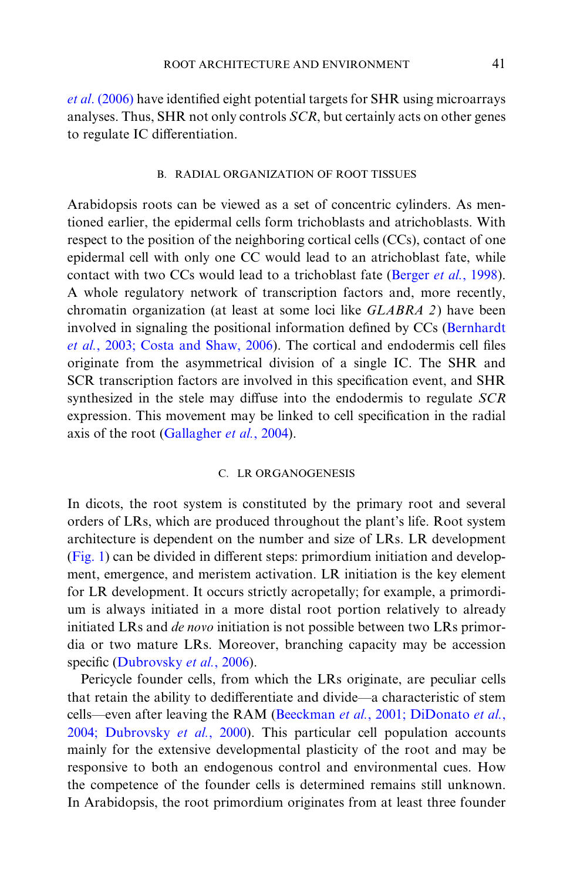et al. [\(2006\)](#page-27-0) have identified eight potential targets for SHR using microarrays analyses. Thus, SHR not only controls SCR, but certainly acts on other genes to regulate IC differentiation.

#### B. RADIAL ORGANIZATION OF ROOT TISSUES

Arabidopsis roots can be viewed as a set of concentric cylinders. As mentioned earlier, the epidermal cells form trichoblasts and atrichoblasts. With respect to the position of the neighboring cortical cells (CCs), contact of one epidermal cell with only one CC would lead to an atrichoblast fate, while contact with two CCs would lead to a trichoblast fate ([Berger](#page-27-0) *et al.*, 1998). A whole regulatory network of transcription factors and, more recently, chromatin organization (at least at some loci like GLABRA 2) have been involved in signaling the positional information defined by CCs ([Bernhardt](#page-27-0) et al., 2003; Costa and [Shaw,](#page-27-0) 2006). The cortical and endodermis cell files originate from the asymmetrical division of a single IC. The SHR and SCR transcription factors are involved in this specification event, and SHR synthesized in the stele may diffuse into the endodermis to regulate  $SCR$ expression. This movement may be linked to cell specification in the radial axis of the root ([Gallagher](#page-27-0) et al., 2004).

#### C. LR ORGANOGENESIS

In dicots, the root system is constituted by the primary root and several orders of LRs, which are produced throughout the plant's life. Root system architecture is dependent on the number and size of LRs. LR development  $(Fig. 1)$  $(Fig. 1)$  $(Fig. 1)$  can be divided in different steps: primordium initiation and development, emergence, and meristem activation. LR initiation is the key element for LR development. It occurs strictly acropetally; for example, a primordium is always initiated in a more distal root portion relatively to already initiated LRs and de novo initiation is not possible between two LRs primordia or two mature LRs. Moreover, branching capacity may be accession specific [\(Dubrovsky](#page-27-0) *et al.*, 2006).

Pericycle founder cells, from which the LRs originate, are peculiar cells that retain the ability to dedifferentiate and divide—a characteristic of stem cells—even after leaving the RAM (Beeckman *et al.*, 2001; [DiDonato](#page-27-0) *et al.*, 2004; [Dubrovsky](#page-27-0) et al., 2000). This particular cell population accounts mainly for the extensive developmental plasticity of the root and may be responsive to both an endogenous control and environmental cues. How the competence of the founder cells is determined remains still unknown. In Arabidopsis, the root primordium originates from at least three founder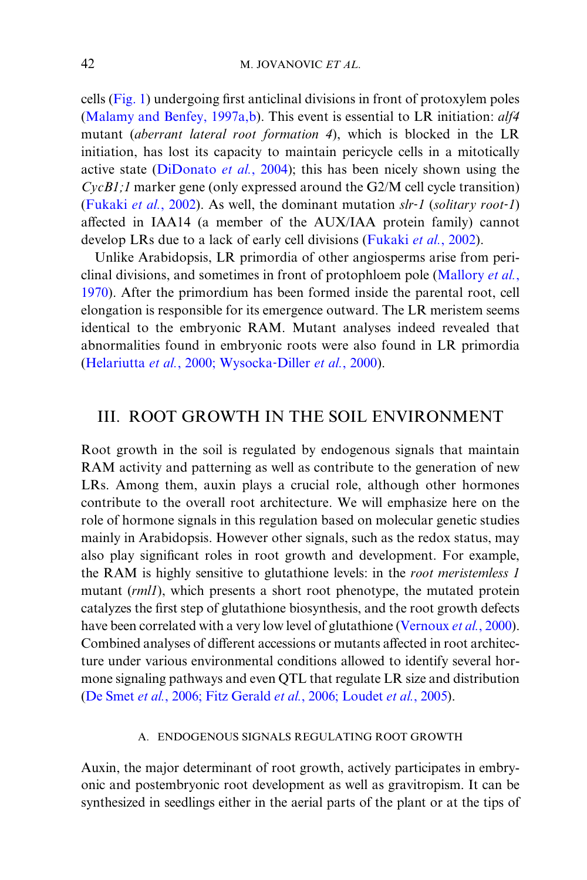cells [\(Fig.](#page-27-0) 1) undergoing first anticlinal divisions in front of protoxylem poles [\(Malamy](#page-27-0) and Benfey, 1997a,b). This event is essential to LR initiation: alf4 mutant (aberrant lateral root formation 4), which is blocked in the LR initiation, has lost its capacity to maintain pericycle cells in a mitotically active state [\(DiDonato](#page-27-0) et al., 2004); this has been nicely shown using the CycB1;1 marker gene (only expressed around the G2/M cell cycle transition) [\(Fukaki](#page-27-0) et al., 2002). As well, the dominant mutation slr‐1 (solitary root‐1) affected in IAA14 (a member of the AUX/IAA protein family) cannot develop LRs due to a lack of early cell divisions [\(Fukaki](#page-27-0) et al., 2002).

Unlike Arabidopsis, LR primordia of other angiosperms arise from peri-clinal divisions, and sometimes in front of protophloem pole ([Mallory](#page-27-0) et al., [1970\)](#page-27-0). After the primordium has been formed inside the parental root, cell elongation is responsible for its emergence outward. The LR meristem seems identical to the embryonic RAM. Mutant analyses indeed revealed that abnormalities found in embryonic roots were also found in LR primordia [\(Helariutta](#page-27-0) et al., 2000; Wysocka‐Diller et al., 2000).

## III. ROOT GROWTH IN THE SOIL ENVIRONMENT

Root growth in the soil is regulated by endogenous signals that maintain RAM activity and patterning as well as contribute to the generation of new LRs. Among them, auxin plays a crucial role, although other hormones contribute to the overall root architecture. We will emphasize here on the role of hormone signals in this regulation based on molecular genetic studies mainly in Arabidopsis. However other signals, such as the redox status, may also play significant roles in root growth and development. For example, the RAM is highly sensitive to glutathione levels: in the root meristemless 1 mutant (rml1), which presents a short root phenotype, the mutated protein catalyzes the first step of glutathione biosynthesis, and the root growth defects have been correlated with a very low level of glutathione ([Vernoux](#page-27-0) *et al.*, 2000). Combined analyses of different accessions or mutants affected in root architecture under various environmental conditions allowed to identify several hormone signaling pathways and even QTL that regulate LR size and distribution (De Smet et al., 2006; Fitz Gerald et al., 2006; [Loudet](#page-27-0) et al., 2005).

## A. ENDOGENOUS SIGNALS REGULATING ROOT GROWTH

Auxin, the major determinant of root growth, actively participates in embryonic and postembryonic root development as well as gravitropism. It can be synthesized in seedlings either in the aerial parts of the plant or at the tips of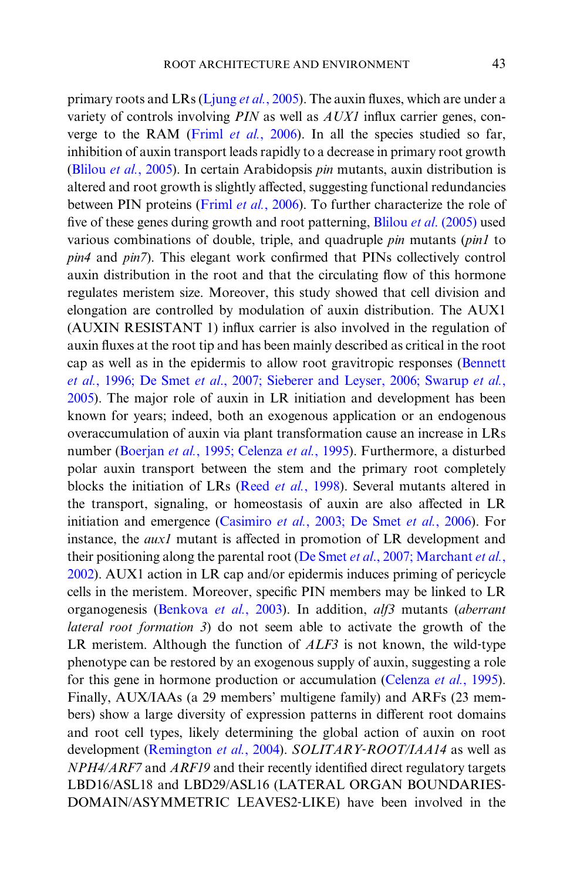primary roots and LRs [\(Ljung](#page-27-0) *et al.*, 2005). The auxin fluxes, which are under a variety of controls involving PIN as well as AUX1 influx carrier genes, con-verge to the RAM ([Friml](#page-30-0) et al., 2006). In all the species studied so far, inhibition of auxin transport leads rapidly to a decrease in primary root growth ([Blilou](#page-27-0) et al., 2005). In certain Arabidopsis pin mutants, auxin distribution is altered and root growth is slightly affected, suggesting functional redundancies between PIN proteins [\(Friml](#page-30-0) *et al.*, 2006). To further characterize the role of five of these genes during growth and root patterning, Blilou *et al.* [\(2005\)](#page-27-0) used various combinations of double, triple, and quadruple pin mutants (pin1 to pin4 and pin7). This elegant work confirmed that PINs collectively control auxin distribution in the root and that the circulating flow of this hormone regulates meristem size. Moreover, this study showed that cell division and elongation are controlled by modulation of auxin distribution. The AUX1 (AUXIN RESISTANT 1) influx carrier is also involved in the regulation of auxin fluxes at the root tip and has been mainly described as critical in the root cap as well as in the epidermis to allow root gravitropic responses ([Bennett](#page-27-0) et al., 1996; De Smet et al., 2007; [Sieberer](#page-27-0) and Leyser, 2006; Swarup et al., [2005](#page-27-0)). The major role of auxin in LR initiation and development has been known for years; indeed, both an exogenous application or an endogenous overaccumulation of auxin via plant transformation cause an increase in LRs number [\(Boerjan](#page-27-0) et al., 1995; Celenza et al., 1995). Furthermore, a disturbed polar auxin transport between the stem and the primary root completely blocks the initiation of LRs ([Reed](#page-27-0) et al., 1998). Several mutants altered in the transport, signaling, or homeostasis of auxin are also affected in LR initiation and emergence ([Casimiro](#page-27-0) et al., 2003; De Smet et al., 2006). For instance, the  $aux1$  mutant is affected in promotion of LR development and their positioning along the parental root (De Smet et al., 2007; [Marchant](#page-27-0) et al., [2002](#page-27-0)). AUX1 action in LR cap and/or epidermis induces priming of pericycle cells in the meristem. Moreover, specific PIN members may be linked to LR organogenesis [\(Benkova](#page-27-0) et al., 2003). In addition, alf3 mutants (aberrant lateral root formation 3) do not seem able to activate the growth of the LR meristem. Although the function of  $ALF3$  is not known, the wild-type phenotype can be restored by an exogenous supply of auxin, suggesting a role for this gene in hormone production or accumulation ([Celenza](#page-27-0) et al., 1995). Finally, AUX/IAAs (a 29 members' multigene family) and ARFs (23 members) show a large diversity of expression patterns in different root domains and root cell types, likely determining the global action of auxin on root development [\(Remington](#page-27-0) et al., 2004). SOLITARY-ROOT/IAA14 as well as NPH4/ARF7 and ARF19 and their recently identified direct regulatory targets LBD16/ASL18 and LBD29/ASL16 (LATERAL ORGAN BOUNDARIES‐ DOMAIN/ASYMMETRIC LEAVES2‐LIKE) have been involved in the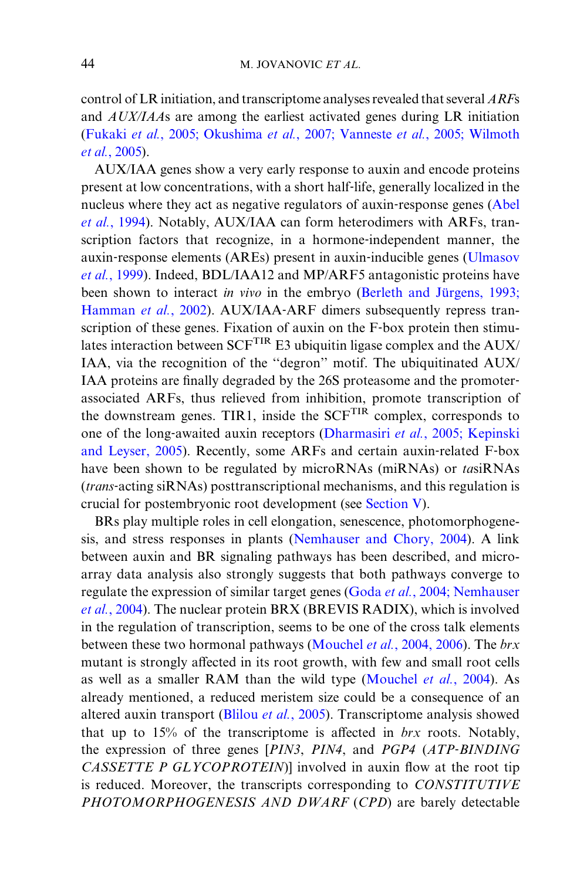control of LR initiation, and transcriptome analyses revealed that several  $ARFs$ and AUX/IAAs are among the earliest activated genes during LR initiation (Fukaki et al., 2005; [Okushima](#page-27-0) et al., 2007; Vanneste et al., 2005; Wilmoth et al., [2005](#page-27-0)).

AUX/IAA genes show a very early response to auxin and encode proteins present at low concentrations, with a short half‐life, generally localized in the nucleus where they act as negative regulators of auxin‐response genes [\(Abel](#page-27-0) et al., [1994](#page-27-0)). Notably, AUX/IAA can form heterodimers with ARFs, transcription factors that recognize, in a hormone‐independent manner, the auxin‐response elements (AREs) present in auxin‐inducible genes ([Ulmasov](#page-27-0) et al., [1999](#page-27-0)). Indeed, BDL/IAA12 and MP/ARF5 antagonistic proteins have been shown to interact in vivo in the embryo (Berleth and Jürgens, 1993; [Hamman](#page-27-0) et al., 2002). AUX/IAA-ARF dimers subsequently repress transcription of these genes. Fixation of auxin on the F-box protein then stimulates interaction between  $SCF^{TR}$  E3 ubiquitin ligase complex and the AUX/ IAA, via the recognition of the ''degron'' motif. The ubiquitinated AUX/ IAA proteins are finally degraded by the 26S proteasome and the promoter‐ associated ARFs, thus relieved from inhibition, promote transcription of the downstream genes. TIR1, inside the SCFTIR complex, corresponds to one of the long‐awaited auxin receptors [\(Dharmasiri](#page-27-0) et al., 2005; Kepinski and [Leyser,](#page-27-0) 2005). Recently, some ARFs and certain auxin‐related F‐box have been shown to be regulated by microRNAs (miRNAs) or tasiRNAs (trans‐acting siRNAs) posttranscriptional mechanisms, and this regulation is crucial for postembryonic root development (see [Section](#page-20-0) V).

BRs play multiple roles in cell elongation, senescence, photomorphogenesis, and stress responses in plants ([Nemhauser](#page-27-0) and Chory, 2004). A link between auxin and BR signaling pathways has been described, and microarray data analysis also strongly suggests that both pathways converge to regulate the expression of similar target genes (Goda et al., 2004; [Nemhauser](#page-27-0) et al., [2004\)](#page-27-0). The nuclear protein BRX (BREVIS RADIX), which is involved in the regulation of transcription, seems to be one of the cross talk elements between these two hormonal pathways [\(Mouchel](#page-27-0) et al., 2004, 2006). The brx mutant is strongly affected in its root growth, with few and small root cells as well as a smaller RAM than the wild type [\(Mouchel](#page-27-0) et al., 2004). As already mentioned, a reduced meristem size could be a consequence of an altered auxin transport [\(Blilou](#page-27-0) et al., 2005). Transcriptome analysis showed that up to 15% of the transcriptome is affected in  $brx$  roots. Notably, the expression of three genes [PIN3, PIN4, and PGP4 (ATP-BINDING CASSETTE P GLYCOPROTEIN) involved in auxin flow at the root tip is reduced. Moreover, the transcripts corresponding to CONSTITUTIVE PHOTOMORPHOGENESIS AND DWARF (CPD) are barely detectable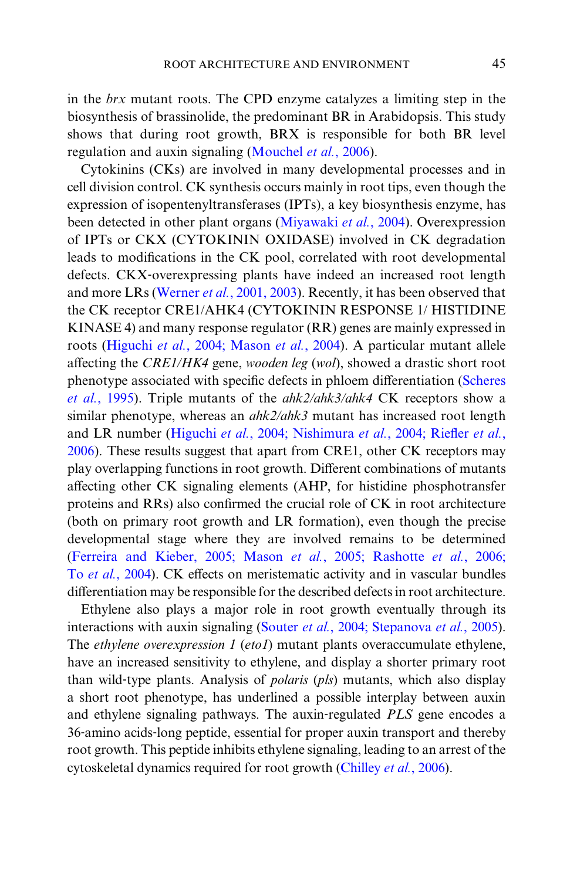in the brx mutant roots. The CPD enzyme catalyzes a limiting step in the biosynthesis of brassinolide, the predominant BR in Arabidopsis. This study shows that during root growth, BRX is responsible for both BR level regulation and auxin signaling [\(Mouchel](#page-27-0) *et al.*, 2006).

Cytokinins (CKs) are involved in many developmental processes and in cell division control. CK synthesis occurs mainly in root tips, even though the expression of isopentenyltransferases (IPTs), a key biosynthesis enzyme, has been detected in other plant organs ([Miyawaki](#page-27-0) et al., 2004). Overexpression of IPTs or CKX (CYTOKININ OXIDASE) involved in CK degradation leads to modifications in the CK pool, correlated with root developmental defects. CKX-overexpressing plants have indeed an increased root length and more LRs [\(Werner](#page-27-0) et al., 2001, 2003). Recently, it has been observed that the CK receptor CRE1/AHK4 (CYTOKININ RESPONSE 1/ HISTIDINE KINASE 4) and many response regulator (RR) genes are mainly expressed in roots [\(Higuchi](#page-27-0) et al., 2004; Mason et al., 2004). A particular mutant allele affecting the CRE1/HK4 gene, wooden leg (wol), showed a drastic short root phenotype associated with specific defects in phloem differentiation [\(Scheres](#page-27-0) et al., [1995\)](#page-27-0). Triple mutants of the ahk2/ahk3/ahk4 CK receptors show a similar phenotype, whereas an *ahk2/ahk3* mutant has increased root length and LR number (Higuchi et al., 2004; [Nishimura](#page-27-0) et al., 2004; Riefler et al., [2006](#page-27-0)). These results suggest that apart from CRE1, other CK receptors may play overlapping functions in root growth. Different combinations of mutants affecting other CK signaling elements (AHP, for histidine phosphotransfer proteins and RRs) also confirmed the crucial role of CK in root architecture (both on primary root growth and LR formation), even though the precise developmental stage where they are involved remains to be determined (Ferreira and Kieber, 2005; Mason et al., 2005; [Rashotte](#page-27-0) et al., 2006; To et al., [2004](#page-27-0)). CK effects on meristematic activity and in vascular bundles differentiation may be responsible for the described defects in root architecture.

Ethylene also plays a major role in root growth eventually through its interactions with auxin signaling (Souter *et al.*, 2004; [Stepanova](#page-27-0) *et al.*, 2005). The ethylene overexpression 1 (eto1) mutant plants overaccumulate ethylene, have an increased sensitivity to ethylene, and display a shorter primary root than wild-type plants. Analysis of *polaris (pls)* mutants, which also display a short root phenotype, has underlined a possible interplay between auxin and ethylene signaling pathways. The auxin‐regulated PLS gene encodes a 36‐amino acids‐long peptide, essential for proper auxin transport and thereby root growth. This peptide inhibits ethylene signaling, leading to an arrest of the cytoskeletal dynamics required for root growth ([Chilley](#page-27-0) et al., 2006).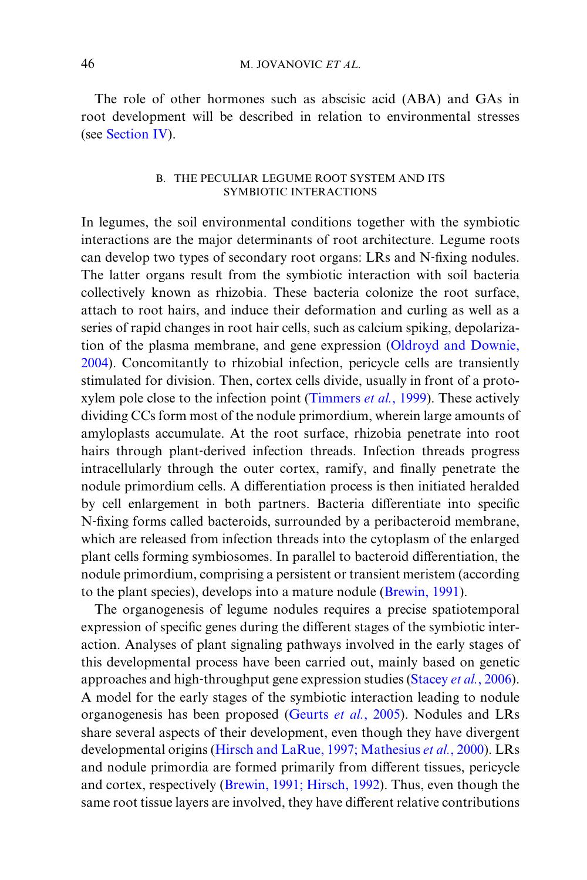The role of other hormones such as abscisic acid (ABA) and GAs in root development will be described in relation to environmental stresses (see [Section](#page-24-0) IV).

#### B. THE PECULIAR LEGUME ROOT SYSTEM AND ITS SYMBIOTIC INTERACTIONS

In legumes, the soil environmental conditions together with the symbiotic interactions are the major determinants of root architecture. Legume roots can develop two types of secondary root organs: LRs and N‐fixing nodules. The latter organs result from the symbiotic interaction with soil bacteria collectively known as rhizobia. These bacteria colonize the root surface, attach to root hairs, and induce their deformation and curling as well as a series of rapid changes in root hair cells, such as calcium spiking, depolarization of the plasma membrane, and gene expression (Oldroyd and [Downie,](#page-27-0) [2004\)](#page-27-0). Concomitantly to rhizobial infection, pericycle cells are transiently stimulated for division. Then, cortex cells divide, usually in front of a protoxylem pole close to the infection point ([Timmers](#page-27-0) et al., 1999). These actively dividing CCs form most of the nodule primordium, wherein large amounts of amyloplasts accumulate. At the root surface, rhizobia penetrate into root hairs through plant‐derived infection threads. Infection threads progress intracellularly through the outer cortex, ramify, and finally penetrate the nodule primordium cells. A differentiation process is then initiated heralded by cell enlargement in both partners. Bacteria differentiate into specific N‐fixing forms called bacteroids, surrounded by a peribacteroid membrane, which are released from infection threads into the cytoplasm of the enlarged plant cells forming symbiosomes. In parallel to bacteroid differentiation, the nodule primordium, comprising a persistent or transient meristem (according to the plant species), develops into a mature nodule ([Brewin,](#page-27-0) 1991).

The organogenesis of legume nodules requires a precise spatiotemporal expression of specific genes during the different stages of the symbiotic interaction. Analyses of plant signaling pathways involved in the early stages of this developmental process have been carried out, mainly based on genetic approaches and high-throughput gene expression studies [\(Stacey](#page-27-0) et al., 2006). A model for the early stages of the symbiotic interaction leading to nodule organogenesis has been proposed ([Geurts](#page-27-0) et al., 2005). Nodules and LRs share several aspects of their development, even though they have divergent developmental origins (Hirsch and LaRue, 1997; [Mathesius](#page-27-0) et al., 2000). LRs and nodule primordia are formed primarily from different tissues, pericycle and cortex, respectively [\(Brewin,](#page-27-0) 1991; Hirsch, 1992). Thus, even though the same root tissue layers are involved, they have different relative contributions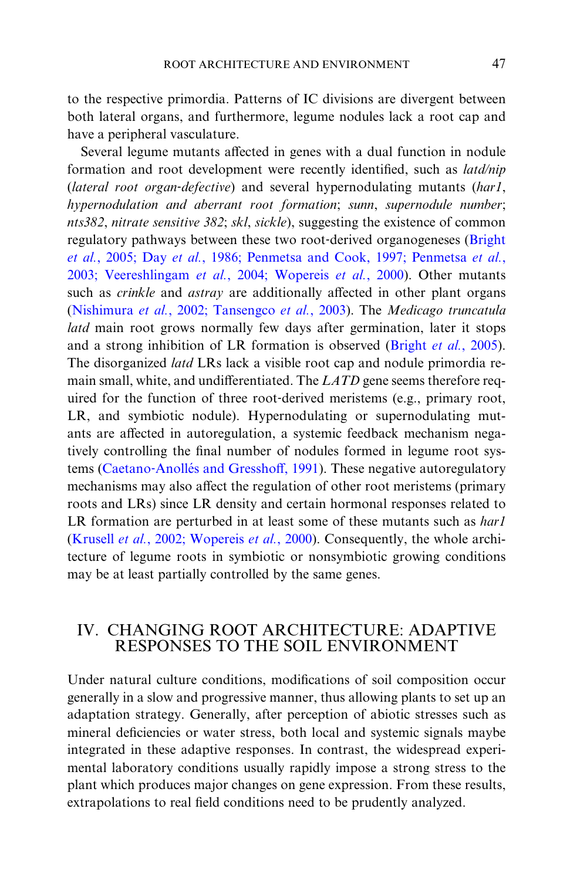<span id="page-12-0"></span>to the respective primordia. Patterns of IC divisions are divergent between both lateral organs, and furthermore, legume nodules lack a root cap and have a peripheral vasculature.

Several legume mutants affected in genes with a dual function in nodule formation and root development were recently identified, such as latd/nip (lateral root organ-defective) and several hypernodulating mutants (har1, hypernodulation and aberrant root formation; sunn, supernodule number; nts382, nitrate sensitive 382; skl, sickle), suggesting the existence of common regulatory pathways between these two root‐derived organogeneses [\(Bright](#page-27-0) et al., 2005; Day et al., 1986; Penmetsa and Cook, 1997; [Penmetsa](#page-27-0) et al., 2003; [Veereshlingam](#page-27-0) et al., 2004; Wopereis et al., 2000). Other mutants such as *crinkle* and *astray* are additionally affected in other plant organs (Nishimura et al., 2002; [Tansengco](#page-27-0) et al., 2003). The Medicago truncatula latd main root grows normally few days after germination, later it stops and a strong inhibition of LR formation is observed [\(Bright](#page-27-0) et al., 2005). The disorganized latd LRs lack a visible root cap and nodule primordia remain small, white, and undifferentiated. The  $LATD$  gene seems therefore required for the function of three root-derived meristems (e.g., primary root, LR, and symbiotic nodule). Hypernodulating or supernodulating mutants are affected in autoregulation, a systemic feedback mechanism negatively controlling the final number of nodules formed in legume root sys-tems [\(Caetano](#page-27-0)-Anollés and Gresshoff, 1991). These negative autoregulatory mechanisms may also affect the regulation of other root meristems (primary roots and LRs) since LR density and certain hormonal responses related to LR formation are perturbed in at least some of these mutants such as *harl* (Krusell et al., 2002; [Wopereis](#page-27-0) et al., 2000). Consequently, the whole architecture of legume roots in symbiotic or nonsymbiotic growing conditions may be at least partially controlled by the same genes.

# IV. CHANGING ROOT ARCHITECTURE: ADAPTIVE RESPONSES TO THE SOIL ENVIRONMENT

Under natural culture conditions, modifications of soil composition occur generally in a slow and progressive manner, thus allowing plants to set up an adaptation strategy. Generally, after perception of abiotic stresses such as mineral deficiencies or water stress, both local and systemic signals maybe integrated in these adaptive responses. In contrast, the widespread experimental laboratory conditions usually rapidly impose a strong stress to the plant which produces major changes on gene expression. From these results, extrapolations to real field conditions need to be prudently analyzed.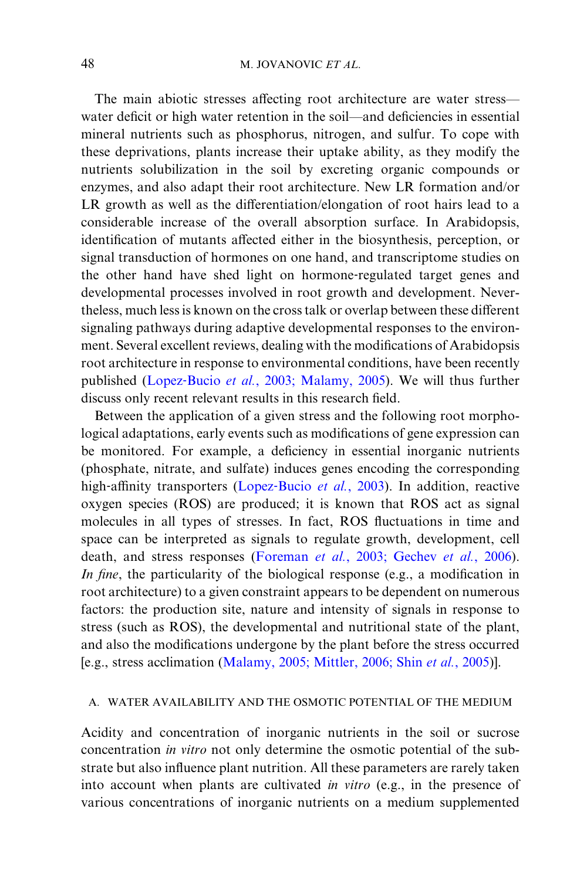The main abiotic stresses affecting root architecture are water stress water deficit or high water retention in the soil—and deficiencies in essential mineral nutrients such as phosphorus, nitrogen, and sulfur. To cope with these deprivations, plants increase their uptake ability, as they modify the nutrients solubilization in the soil by excreting organic compounds or enzymes, and also adapt their root architecture. New LR formation and/or LR growth as well as the differentiation/elongation of root hairs lead to a considerable increase of the overall absorption surface. In Arabidopsis, identification of mutants affected either in the biosynthesis, perception, or signal transduction of hormones on one hand, and transcriptome studies on the other hand have shed light on hormone‐regulated target genes and developmental processes involved in root growth and development. Nevertheless, much less is known on the cross talk or overlap between these different signaling pathways during adaptive developmental responses to the environment. Several excellent reviews, dealing with the modifications of Arabidopsis root architecture in response to environmental conditions, have been recently published (Lopez-Bucio et al., 2003; [Malamy,](#page-27-0) 2005). We will thus further discuss only recent relevant results in this research field.

Between the application of a given stress and the following root morphological adaptations, early events such as modifications of gene expression can be monitored. For example, a deficiency in essential inorganic nutrients (phosphate, nitrate, and sulfate) induces genes encoding the corresponding high-affinity transporters ([Lopez](#page-27-0)-Bucio et al., 2003). In addition, reactive oxygen species (ROS) are produced; it is known that ROS act as signal molecules in all types of stresses. In fact, ROS fluctuations in time and space can be interpreted as signals to regulate growth, development, cell death, and stress responses [\(Foreman](#page-27-0) et al., 2003; Gechev et al., 2006). In fine, the particularity of the biological response (e.g., a modification in root architecture) to a given constraint appears to be dependent on numerous factors: the production site, nature and intensity of signals in response to stress (such as ROS), the developmental and nutritional state of the plant, and also the modifications undergone by the plant before the stress occurred [e.g., stress acclimation ([Malamy,](#page-27-0) 2005; Mittler, 2006; Shin et al., 2005)].

## A. WATER AVAILABILITY AND THE OSMOTIC POTENTIAL OF THE MEDIUM

Acidity and concentration of inorganic nutrients in the soil or sucrose concentration in vitro not only determine the osmotic potential of the substrate but also influence plant nutrition. All these parameters are rarely taken into account when plants are cultivated in vitro (e.g., in the presence of various concentrations of inorganic nutrients on a medium supplemented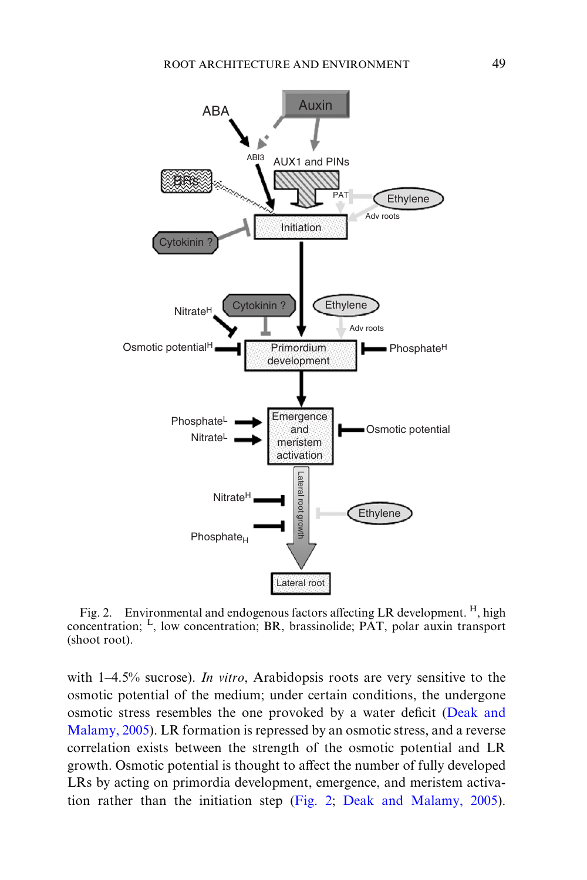

Fig. 2. Environmental and endogenous factors affecting LR development.  $H$ , high concentration;  $<sup>L</sup>$ , low concentration; BR, brassinolide; PAT, polar auxin transport</sup> (shoot root).

with 1–4.5% sucrose). In vitro, Arabidopsis roots are very sensitive to the osmotic potential of the medium; under certain conditions, the undergone osmotic stress resembles the one provoked by a water deficit ([Deak](#page-27-0) and [Malamy,](#page-27-0) 2005). LR formation is repressed by an osmotic stress, and a reverse correlation exists between the strength of the osmotic potential and LR growth. Osmotic potential is thought to affect the number of fully developed LRs by acting on primordia development, emergence, and meristem activation rather than the initiation step ([Fig.](#page-27-0) 2; Deak and [Malamy,](#page-27-0) 2005).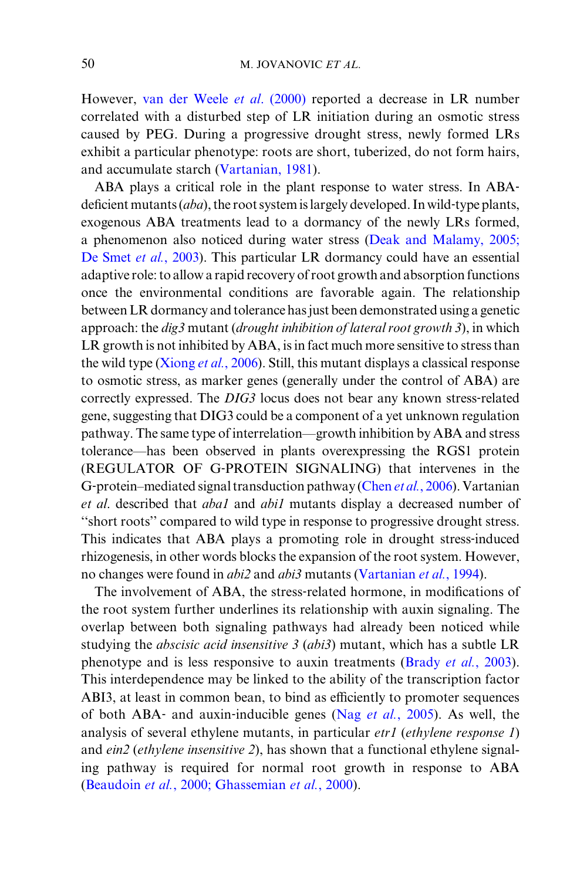However, van der Weele et al. [\(2000\)](#page-27-0) reported a decrease in LR number correlated with a disturbed step of LR initiation during an osmotic stress caused by PEG. During a progressive drought stress, newly formed LRs exhibit a particular phenotype: roots are short, tuberized, do not form hairs, and accumulate starch ([Vartanian,](#page-27-0) 1981).

ABA plays a critical role in the plant response to water stress. In ABA‐ deficient mutants  $(aba)$ , the root system is largely developed. In wild-type plants, exogenous ABA treatments lead to a dormancy of the newly LRs formed, a phenomenon also noticed during water stress (Deak and [Malamy,](#page-27-0) 2005; De [Smet](#page-27-0) et al., 2003). This particular LR dormancy could have an essential adaptive role: to allow a rapid recovery of root growth and absorption functions once the environmental conditions are favorable again. The relationship between LR dormancy and tolerance has just been demonstrated using a genetic approach: the  $dig3$  mutant (drought inhibition of lateral root growth 3), in which LR growth is not inhibited by ABA, is in fact much more sensitive to stress than the wild type ([Xiong](#page-27-0) et al., 2006). Still, this mutant displays a classical response to osmotic stress, as marker genes (generally under the control of ABA) are correctly expressed. The DIG3 locus does not bear any known stress-related gene, suggesting that DIG3 could be a component of a yet unknown regulation pathway. The same type of interrelation—growth inhibition by ABA and stress tolerance—has been observed in plants overexpressing the RGS1 protein (REGULATOR OF G‐PROTEIN SIGNALING) that intervenes in the G-protein–mediated signal transduction pathway [\(Chen](#page-27-0) et al., 2006). Vartanian et al. described that aba1 and abi1 mutants display a decreased number of ''short roots'' compared to wild type in response to progressive drought stress. This indicates that ABA plays a promoting role in drought stress-induced rhizogenesis, in other words blocks the expansion of the root system. However, no changes were found in abi2 and abi3 mutants ([Vartanian](#page-27-0) et al., 1994).

The involvement of ABA, the stress-related hormone, in modifications of the root system further underlines its relationship with auxin signaling. The overlap between both signaling pathways had already been noticed while studying the abscisic acid insensitive 3 (abi3) mutant, which has a subtle LR phenotype and is less responsive to auxin treatments [\(Brady](#page-27-0) et al., 2003). This interdependence may be linked to the ability of the transcription factor ABI3, at least in common bean, to bind as efficiently to promoter sequences of both ABA‐ and auxin‐inducible genes (Nag et al., [2005](#page-27-0)). As well, the analysis of several ethylene mutants, in particular etr1 (ethylene response 1) and ein2 (ethylene insensitive 2), has shown that a functional ethylene signaling pathway is required for normal root growth in response to ABA (Beaudoin et al., 2000; [Ghassemian](#page-27-0) et al., 2000).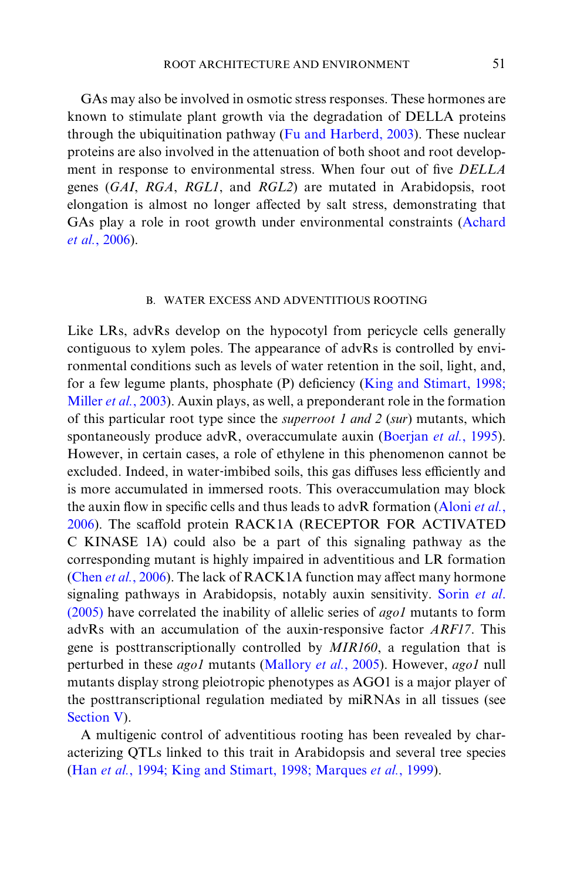GAs may also be involved in osmotic stress responses. These hormones are known to stimulate plant growth via the degradation of DELLA proteins through the ubiquitination pathway (Fu and [Harberd,](#page-27-0) 2003). These nuclear proteins are also involved in the attenuation of both shoot and root development in response to environmental stress. When four out of five DELLA genes (GAI, RGA, RGL1, and RGL2) are mutated in Arabidopsis, root elongation is almost no longer affected by salt stress, demonstrating that GAs play a role in root growth under environmental constraints [\(Achard](#page-27-0) et al., [2006\)](#page-27-0).

#### B. WATER EXCESS AND ADVENTITIOUS ROOTING

Like LRs, advRs develop on the hypocotyl from pericycle cells generally contiguous to xylem poles. The appearance of advRs is controlled by environmental conditions such as levels of water retention in the soil, light, and, for a few legume plants, phosphate (P) deficiency (King and [Stimart,](#page-27-0) 1998; [Miller](#page-27-0) et al., 2003). Auxin plays, as well, a preponderant role in the formation of this particular root type since the *superroot 1 and 2 (sur)* mutants, which spontaneously produce advR, overaccumulate auxin ([Boerjan](#page-27-0) *et al.*, 1995). However, in certain cases, a role of ethylene in this phenomenon cannot be excluded. Indeed, in water-imbibed soils, this gas diffuses less efficiently and is more accumulated in immersed roots. This overaccumulation may block the auxin flow in specific cells and thus leads to advR formation ([Aloni](#page-27-0) et al., [2006](#page-27-0)). The scaffold protein RACK1A (RECEPTOR FOR ACTIVATED C KINASE 1A) could also be a part of this signaling pathway as the corresponding mutant is highly impaired in adventitious and LR formation ([Chen](#page-27-0) et al., 2006). The lack of RACK1A function may affect many hormone signaling pathways in Arabidopsis, notably auxin sensitivity. [Sorin](#page-27-0) et al.  $(2005)$  have correlated the inability of allelic series of *ago1* mutants to form advRs with an accumulation of the auxin-responsive factor  $ARF17$ . This gene is posttranscriptionally controlled by MIR160, a regulation that is perturbed in these ago1 mutants ([Mallory](#page-27-0) et al., 2005). However, ago1 null mutants display strong pleiotropic phenotypes as AGO1 is a major player of the posttranscriptional regulation mediated by miRNAs in all tissues (see [Section](#page-20-0) V).

A multigenic control of adventitious rooting has been revealed by characterizing QTLs linked to this trait in Arabidopsis and several tree species (Han et al., 1994; King and Stimart, 1998; [Marques](#page-27-0) et al., 1999).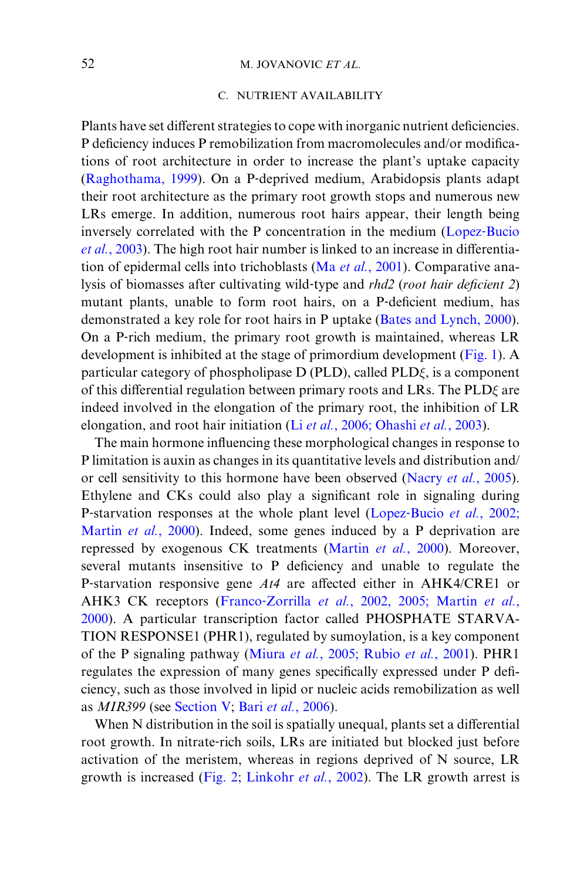## 52 M. JOVANOVIC ET AL.

#### C. NUTRIENT AVAILABILITY

Plants have set different strategies to cope with inorganic nutrient deficiencies. P deficiency induces P remobilization from macromolecules and/or modifications of root architecture in order to increase the plant's uptake capacity [\(Raghothama,](#page-27-0) 1999). On a P‐deprived medium, Arabidopsis plants adapt their root architecture as the primary root growth stops and numerous new LRs emerge. In addition, numerous root hairs appear, their length being inversely correlated with the P concentration in the medium [\(Lopez](#page-27-0)‐Bucio  $et al., 2003$ ). The high root hair number is linked to an increase in differentia-tion of epidermal cells into trichoblasts (Ma et al., [2001](#page-27-0)). Comparative analysis of biomasses after cultivating wild‐type and rhd2 (root hair deficient 2) mutant plants, unable to form root hairs, on a P‐deficient medium, has demonstrated a key role for root hairs in P uptake (Bates and [Lynch,](#page-27-0) 2000). On a P‐rich medium, the primary root growth is maintained, whereas LR development is inhibited at the stage of primordium development ([Fig.](#page-27-0) 1). A particular category of phospholipase  $D$  (PLD), called PLD $\xi$ , is a component of this differential regulation between primary roots and LRs. The  $PLD\xi$  are indeed involved in the elongation of the primary root, the inhibition of LR elongation, and root hair initiation (Li et al., 2006; [Ohashi](#page-27-0) et al., 2003).

The main hormone influencing these morphological changes in response to P limitation is auxin as changes in its quantitative levels and distribution and/ or cell sensitivity to this hormone have been observed [\(Nacry](#page-27-0) *et al.*, 2005). Ethylene and CKs could also play a significant role in signaling during P-starvation responses at the whole plant level [\(Lopez](#page-27-0)-Bucio et al., 2002; [Martin](#page-27-0) *et al.*, 2000). Indeed, some genes induced by a P deprivation are repressed by exogenous CK treatments ([Martin](#page-27-0) et al., 2000). Moreover, several mutants insensitive to P deficiency and unable to regulate the P-starvation responsive gene  $At4$  are affected either in AHK4/CRE1 or AHK3 CK receptors (Franco‐[Zorrilla](#page-27-0) et al., 2002, 2005; Martin et al., [2000\)](#page-27-0). A particular transcription factor called PHOSPHATE STARVA-TION RESPONSE1 (PHR1), regulated by sumoylation, is a key component of the P signaling pathway [\(Miura](#page-27-0) et al., 2005; Rubio et al., 2001). PHR1 regulates the expression of many genes specifically expressed under P deficiency, such as those involved in lipid or nucleic acids remobilization as well as MIR399 (see [Section](#page-20-0) V; Bari et al., [2006\)](#page-27-0).

When N distribution in the soil is spatially unequal, plants set a differential root growth. In nitrate‐rich soils, LRs are initiated but blocked just before activation of the meristem, whereas in regions deprived of N source, LR growth is increased ([Fig.](#page-27-0) 2; [Linkohr](#page-27-0) et al., 2002). The LR growth arrest is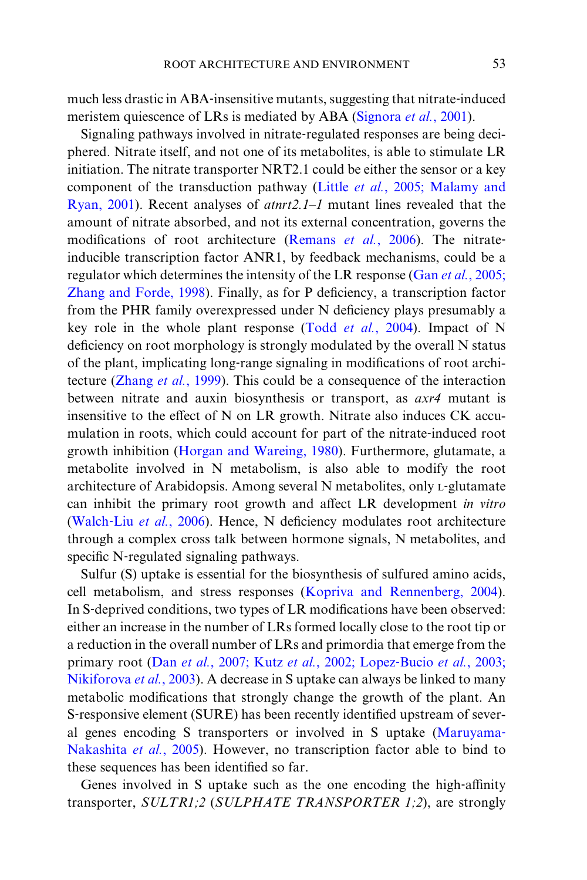much less drastic in ABA-insensitive mutants, suggesting that nitrate-induced meristem quiescence of LRs is mediated by ABA [\(Signora](#page-27-0) et al., 2001).

Signaling pathways involved in nitrate‐regulated responses are being deciphered. Nitrate itself, and not one of its metabolites, is able to stimulate LR initiation. The nitrate transporter NRT2.1 could be either the sensor or a key component of the transduction pathway (Little et al., 2005; [Malamy](#page-27-0) and [Ryan,](#page-27-0) 2001). Recent analyses of atnrt2.1–1 mutant lines revealed that the amount of nitrate absorbed, and not its external concentration, governs the modifications of root architecture ([Remans](#page-27-0) et al., 2006). The nitrate– inducible transcription factor ANR1, by feedback mechanisms, could be a regulator which determines the intensity of the LR response (Gan et al., [2005;](#page-27-0) Zhang and [Forde,](#page-27-0) 1998). Finally, as for P deficiency, a transcription factor from the PHR family overexpressed under N deficiency plays presumably a key role in the whole plant response ([Todd](#page-27-0) *et al.*, 2004). Impact of N deficiency on root morphology is strongly modulated by the overall N status of the plant, implicating long‐range signaling in modifications of root architecture [\(Zhang](#page-27-0) et al., 1999). This could be a consequence of the interaction between nitrate and auxin biosynthesis or transport, as axr4 mutant is insensitive to the effect of  $N$  on LR growth. Nitrate also induces  $CK$  accumulation in roots, which could account for part of the nitrate‐induced root growth inhibition (Horgan and [Wareing,](#page-27-0) 1980). Furthermore, glutamate, a metabolite involved in N metabolism, is also able to modify the root architecture of Arabidopsis. Among several N metabolites, only <sup>L</sup>‐glutamate can inhibit the primary root growth and affect LR development in vitro ([Walch](#page-27-0)‐Liu et al., 2006). Hence, N deficiency modulates root architecture through a complex cross talk between hormone signals, N metabolites, and specific N-regulated signaling pathways.

Sulfur (S) uptake is essential for the biosynthesis of sulfured amino acids, cell metabolism, and stress responses (Kopriva and [Rennenberg,](#page-27-0) 2004). In S-deprived conditions, two types of LR modifications have been observed: either an increase in the number of LRs formed locally close to the root tip or a reduction in the overall number of LRs and primordia that emerge from the primary root (Dan et al., 2007; Kutz et al., 2002; [Lopez](#page-27-0)-Bucio et al., 2003; [Nikiforova](#page-27-0) et al., 2003). A decrease in S uptake can always be linked to many metabolic modifications that strongly change the growth of the plant. An S-responsive element (SURE) has been recently identified upstream of several genes encoding S transporters or involved in S uptake ([Maruyama](#page-27-0)‐ [Nakashita](#page-27-0) et al., 2005). However, no transcription factor able to bind to these sequences has been identified so far.

Genes involved in S uptake such as the one encoding the high-affinity transporter, SULTR1;2 (SULPHATE TRANSPORTER 1;2), are strongly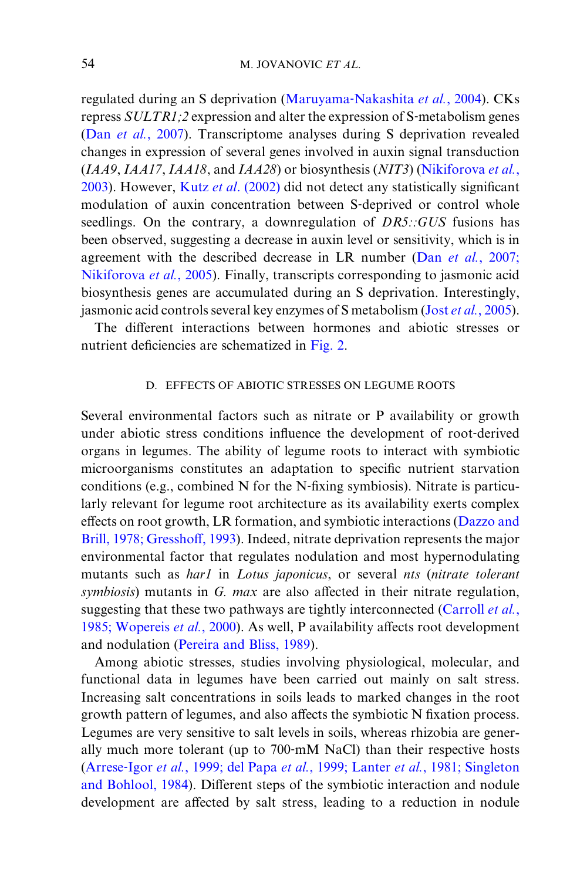regulated during an S deprivation [\(Maruyama](#page-27-0)‐Nakashita et al., 2004). CKs repress  $SULTRI$ ; 2 expression and alter the expression of S-metabolism genes (Dan et al., [2007](#page-27-0)). Transcriptome analyses during S deprivation revealed changes in expression of several genes involved in auxin signal transduction  $(IAA9,IAA17,IAA18, and IAA28)$  or biosynthesis  $(NIT3)$  ([Nikiforova](#page-27-0) et al., [2003\)](#page-27-0). However, Kutz et al. [\(2002\)](#page-27-0) did not detect any statistically significant modulation of auxin concentration between S‐deprived or control whole seedlings. On the contrary, a downregulation of DR5::GUS fusions has been observed, suggesting a decrease in auxin level or sensitivity, which is in agreement with the described decrease in LR number (Dan et al., [2007;](#page-27-0) [Nikiforova](#page-27-0) et al., 2005). Finally, transcripts corresponding to jasmonic acid biosynthesis genes are accumulated during an S deprivation. Interestingly, jasmonic acid controls several key enzymes of S metabolism (Jost et al., [2005](#page-27-0)).

The different interactions between hormones and abiotic stresses or nutrient deficiencies are schematized in [Fig.](#page-27-0) 2.

## D. EFFECTS OF ABIOTIC STRESSES ON LEGUME ROOTS

Several environmental factors such as nitrate or P availability or growth under abiotic stress conditions influence the development of root‐derived organs in legumes. The ability of legume roots to interact with symbiotic microorganisms constitutes an adaptation to specific nutrient starvation conditions (e.g., combined N for the N‐fixing symbiosis). Nitrate is particularly relevant for legume root architecture as its availability exerts complex effects on root growth, LR formation, and symbiotic interactions ( $\overline{Dazzo}$  $\overline{Dazzo}$  $\overline{Dazzo}$  and Brill, 1978; [Gressho](#page-27-0)ff, 1993). Indeed, nitrate deprivation represents the major environmental factor that regulates nodulation and most hypernodulating mutants such as har1 in Lotus japonicus, or several nts (nitrate tolerant symbiosis) mutants in  $G$ . max are also affected in their nitrate regulation, suggesting that these two pathways are tightly interconnected ([Carroll](#page-27-0) et al., 1985; [Wopereis](#page-27-0) et al., 2000). As well, P availability affects root development and nodulation [\(Pereira](#page-27-0) and Bliss, 1989).

Among abiotic stresses, studies involving physiological, molecular, and functional data in legumes have been carried out mainly on salt stress. Increasing salt concentrations in soils leads to marked changes in the root growth pattern of legumes, and also affects the symbiotic N fixation process. Legumes are very sensitive to salt levels in soils, whereas rhizobia are generally much more tolerant (up to 700‐mM NaCl) than their respective hosts (Arrese‐Igor et al., 1999; del Papa et al., 1999; Lanter et al., 1981; [Singleton](#page-27-0) and [Bohlool,](#page-27-0) 1984). Different steps of the symbiotic interaction and nodule development are affected by salt stress, leading to a reduction in nodule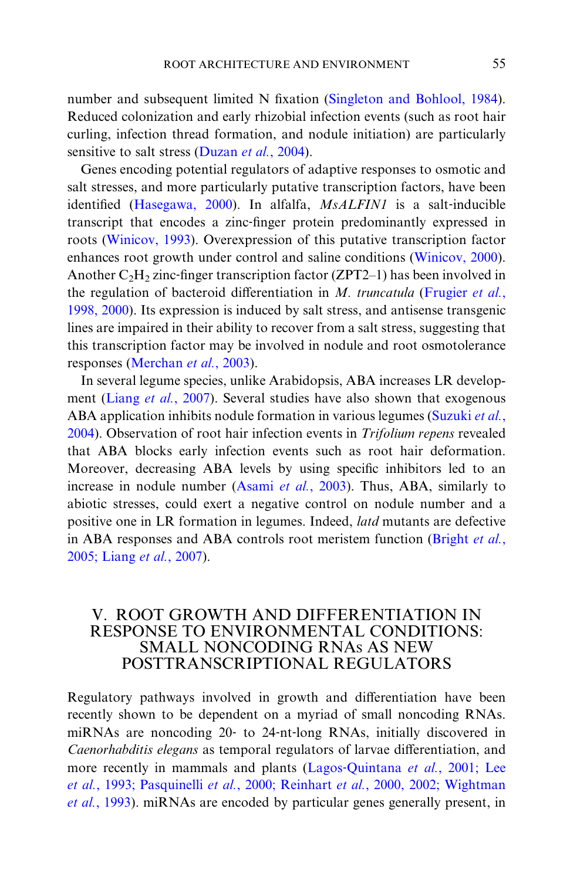<span id="page-20-0"></span>number and subsequent limited N fixation ([Singleton](#page-27-0) and Bohlool, 1984). Reduced colonization and early rhizobial infection events (such as root hair curling, infection thread formation, and nodule initiation) are particularly sensitive to salt stress [\(Duzan](#page-27-0) *et al.*, 2004).

Genes encoding potential regulators of adaptive responses to osmotic and salt stresses, and more particularly putative transcription factors, have been identified ([Hasegawa,](#page-27-0) 2000). In alfalfa,  $MsALFIN1$  is a salt-inducible transcript that encodes a zinc‐finger protein predominantly expressed in roots [\(Winicov,](#page-27-0) 1993). Overexpression of this putative transcription factor enhances root growth under control and saline conditions ([Winicov,](#page-27-0) 2000). Another  $C_2H_2$  zinc-finger transcription factor (ZPT2–1) has been involved in the regulation of bacteroid differentiation in  $M$ . truncatula [\(Frugier](#page-27-0) et al., [1998,](#page-27-0) 2000). Its expression is induced by salt stress, and antisense transgenic lines are impaired in their ability to recover from a salt stress, suggesting that this transcription factor may be involved in nodule and root osmotolerance responses [\(Merchan](#page-27-0) et al., 2003).

In several legume species, unlike Arabidopsis, ABA increases LR develop-ment ([Liang](#page-27-0) *et al.*, 2007). Several studies have also shown that exogenous ABA application inhibits nodule formation in various legumes ([Suzuki](#page-27-0) et al., [2004](#page-27-0)). Observation of root hair infection events in Trifolium repens revealed that ABA blocks early infection events such as root hair deformation. Moreover, decreasing ABA levels by using specific inhibitors led to an increase in nodule number ([Asami](#page-27-0) et al., 2003). Thus, ABA, similarly to abiotic stresses, could exert a negative control on nodule number and a positive one in LR formation in legumes. Indeed, latd mutants are defective in ABA responses and ABA controls root meristem function [\(Bright](#page-27-0) et al., 2005; [Liang](#page-27-0) et al., 2007).

# V. ROOT GROWTH AND DIFFERENTIATION IN RESPONSE TO ENVIRONMENTAL CONDITIONS: SMALL NONCODING RNAS AS NEW POSTTRANSCRIPTIONAL REGULATORS

Regulatory pathways involved in growth and differentiation have been recently shown to be dependent on a myriad of small noncoding RNAs. miRNAs are noncoding 20‐ to 24‐nt‐long RNAs, initially discovered in Caenorhabditis elegans as temporal regulators of larvae differentiation, and more recently in mammals and plants (Lagos-[Quintana](#page-27-0) et al., 2001; Lee et al., 1993; [Pasquinelli](#page-27-0) et al., 2000; Reinhart et al., 2000, 2002; Wightman et al., [1993](#page-27-0)). miRNAs are encoded by particular genes generally present, in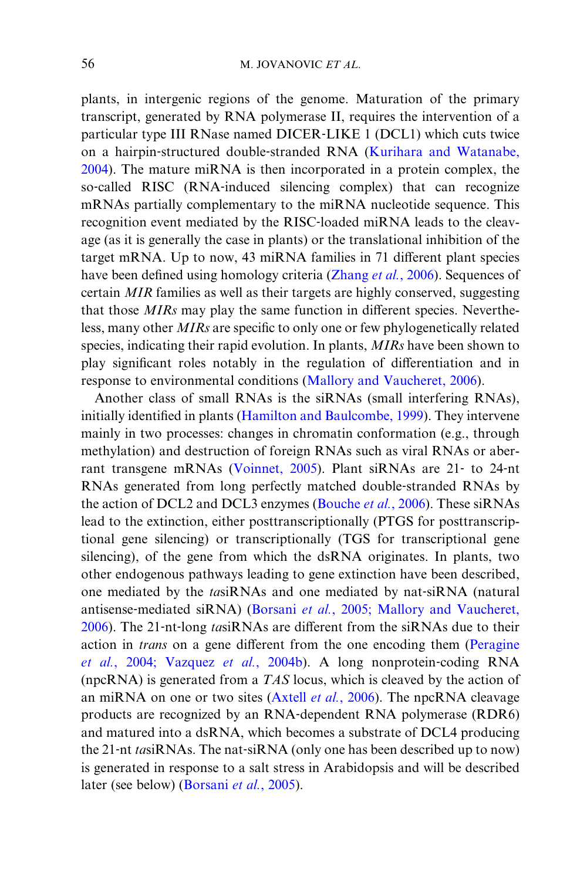plants, in intergenic regions of the genome. Maturation of the primary transcript, generated by RNA polymerase II, requires the intervention of a particular type III RNase named DICER‐LIKE 1 (DCL1) which cuts twice on a hairpin-structured double-stranded RNA (Kurihara and [Watanabe,](#page-27-0)  $2004$ ). The mature miRNA is then incorporated in a protein complex, the so-called RISC (RNA-induced silencing complex) that can recognize mRNAs partially complementary to the miRNA nucleotide sequence. This recognition event mediated by the RISC‐loaded miRNA leads to the cleavage (as it is generally the case in plants) or the translational inhibition of the target mRNA. Up to now, 43 miRNA families in 71 different plant species have been defined using homology criteria ([Zhang](#page-27-0) et al., 2006). Sequences of certain MIR families as well as their targets are highly conserved, suggesting that those  $MIRs$  may play the same function in different species. Nevertheless, many other MIRs are specific to only one or few phylogenetically related species, indicating their rapid evolution. In plants, MIRs have been shown to play significant roles notably in the regulation of differentiation and in response to environmental conditions (Mallory and [Vaucheret,](#page-27-0) 2006).

Another class of small RNAs is the siRNAs (small interfering RNAs), initially identified in plants (Hamilton and [Baulcombe,](#page-27-0) 1999). They intervene mainly in two processes: changes in chromatin conformation (e.g., through methylation) and destruction of foreign RNAs such as viral RNAs or aberrant transgene mRNAs ([Voinnet,](#page-27-0) 2005). Plant siRNAs are 21‐ to 24‐nt RNAs generated from long perfectly matched double‐stranded RNAs by the action of DCL2 and DCL3 enzymes [\(Bouche](#page-27-0) et al., 2006). These siRNAs lead to the extinction, either posttranscriptionally (PTGS for posttranscriptional gene silencing) or transcriptionally (TGS for transcriptional gene silencing), of the gene from which the dsRNA originates. In plants, two other endogenous pathways leading to gene extinction have been described, one mediated by the tasiRNAs and one mediated by nat‐siRNA (natural antisense‐mediated siRNA) (Borsani et al., 2005; Mallory and [Vaucheret,](#page-27-0) [2006\)](#page-27-0). The 21-nt-long tasiRNAs are different from the siRNAs due to their action in *trans* on a gene different from the one encoding them ([Peragine](#page-27-0) et al., 2004; [Vazquez](#page-27-0) et al., 2004b). A long nonprotein‐coding RNA (npcRNA) is generated from a  $TAS$  locus, which is cleaved by the action of an miRNA on one or two sites ([Axtell](#page-27-0) et al., 2006). The npcRNA cleavage products are recognized by an RNA‐dependent RNA polymerase (RDR6) and matured into a dsRNA, which becomes a substrate of DCL4 producing the 21-nt tasiRNAs. The nat-siRNA (only one has been described up to now) is generated in response to a salt stress in Arabidopsis and will be described later (see below) [\(Borsani](#page-27-0) et al., 2005).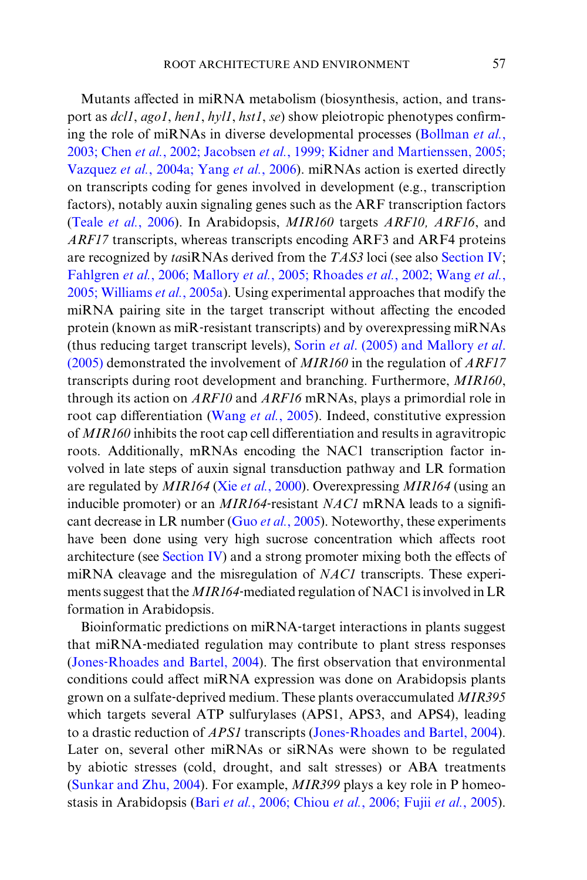Mutants affected in miRNA metabolism (biosynthesis, action, and transport as dcl1, ago1, hen1, hyl1, hst1, se) show pleiotropic phenotypes confirm-ing the role of miRNAs in diverse developmental processes [\(Bollman](#page-27-0) et al., 2003; Chen et al., 2002; Jacobsen et al., 1999; Kidner and [Martienssen,](#page-27-0) 2005; [Vazquez](#page-27-0) et al., 2004a; Yang et al., 2006). miRNAs action is exerted directly on transcripts coding for genes involved in development (e.g., transcription factors), notably auxin signaling genes such as the ARF transcription factors ([Teale](#page-27-0) et al., 2006). In Arabidopsis, MIR160 targets ARF10, ARF16, and ARF17 transcripts, whereas transcripts encoding ARF3 and ARF4 proteins are recognized by tasiRNAs derived from the TAS3 loci (see also [Section](#page-12-0) IV; [Fahlgren](#page-27-0) et al., 2006; Mallory et al., 2005; Rhoades et al., 2002; Wang et al., 2005; [Williams](#page-27-0) et al., 2005a). Using experimental approaches that modify the miRNA pairing site in the target transcript without affecting the encoded protein (known as miR‐resistant transcripts) and by overexpressing miRNAs (thus reducing target transcript levels), Sorin et al. (2005) and [Mallory](#page-27-0) et al.  $(2005)$  demonstrated the involvement of *MIR160* in the regulation of *ARF17* transcripts during root development and branching. Furthermore, MIR160, through its action on ARF10 and ARF16 mRNAs, plays a primordial role in root cap differentiation ([Wang](#page-27-0) et al., 2005). Indeed, constitutive expression of MIR160 inhibits the root cap cell differentiation and results in agravitropic roots. Additionally, mRNAs encoding the NAC1 transcription factor involved in late steps of auxin signal transduction pathway and LR formation are regulated by MIR164 (Xie et al., [2000\)](#page-27-0). Overexpressing MIR164 (using an inducible promoter) or an MIR164-resistant NAC1 mRNA leads to a signifi-cant decrease in LR number (Guo et al., [2005\)](#page-27-0). Noteworthy, these experiments have been done using very high sucrose concentration which affects root architecture (see [Section](#page-12-0) IV) and a strong promoter mixing both the effects of miRNA cleavage and the misregulation of NAC1 transcripts. These experiments suggest that the  $MIR164$ -mediated regulation of NAC1 is involved in LR formation in Arabidopsis.

Bioinformatic predictions on miRNA‐target interactions in plants suggest that miRNA‐mediated regulation may contribute to plant stress responses (Jones‐[Rhoades](#page-27-0) and Bartel, 2004). The first observation that environmental conditions could affect miRNA expression was done on Arabidopsis plants grown on a sulfate-deprived medium. These plants overaccumulated MIR395 which targets several ATP sulfurylases (APS1, APS3, and APS4), leading to a drastic reduction of *APS1* transcripts (Jones-[Rhoades](#page-27-0) and Bartel, 2004). Later on, several other miRNAs or siRNAs were shown to be regulated by abiotic stresses (cold, drought, and salt stresses) or ABA treatments ([Sunkar](#page-27-0) and Zhu, 2004). For example, MIR399 plays a key role in P homeostasis in Arabidopsis (Bari et al., 2006; [Chiou](#page-27-0) et al., 2006; Fujii et al., 2005).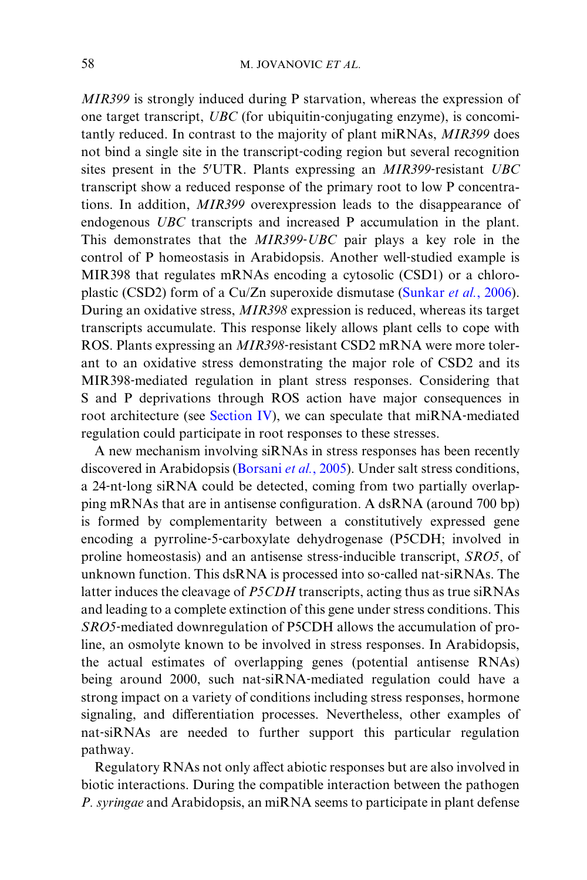MIR399 is strongly induced during P starvation, whereas the expression of one target transcript, UBC (for ubiquitin‐conjugating enzyme), is concomitantly reduced. In contrast to the majority of plant miRNAs, MIR399 does not bind a single site in the transcript‐coding region but several recognition sites present in the 5'UTR. Plants expressing an MIR399-resistant UBC transcript show a reduced response of the primary root to low P concentrations. In addition, MIR399 overexpression leads to the disappearance of endogenous UBC transcripts and increased P accumulation in the plant. This demonstrates that the MIR399-UBC pair plays a key role in the control of P homeostasis in Arabidopsis. Another well‐studied example is MIR398 that regulates mRNAs encoding a cytosolic (CSD1) or a chloroplastic (CSD2) form of a Cu/Zn superoxide dismutase [\(Sunkar](#page-27-0) et al., 2006). During an oxidative stress, MIR398 expression is reduced, whereas its target transcripts accumulate. This response likely allows plant cells to cope with ROS. Plants expressing an MIR398‐resistant CSD2 mRNA were more tolerant to an oxidative stress demonstrating the major role of CSD2 and its MIR398‐mediated regulation in plant stress responses. Considering that S and P deprivations through ROS action have major consequences in root architecture (see [Section](#page-12-0) IV), we can speculate that miRNA‐mediated regulation could participate in root responses to these stresses.

A new mechanism involving siRNAs in stress responses has been recently discovered in Arabidopsis ([Borsani](#page-27-0) et al., 2005). Under salt stress conditions, a 24‐nt‐long siRNA could be detected, coming from two partially overlapping mRNAs that are in antisense configuration. A dsRNA (around 700 bp) is formed by complementarity between a constitutively expressed gene encoding a pyrroline‐5‐carboxylate dehydrogenase (P5CDH; involved in proline homeostasis) and an antisense stress‐inducible transcript, SRO5, of unknown function. This dsRNA is processed into so-called nat-siRNAs. The latter induces the cleavage of P5CDH transcripts, acting thus as true siRNAs and leading to a complete extinction of this gene under stress conditions. This SRO5-mediated downregulation of P5CDH allows the accumulation of proline, an osmolyte known to be involved in stress responses. In Arabidopsis, the actual estimates of overlapping genes (potential antisense RNAs) being around 2000, such nat-siRNA-mediated regulation could have a strong impact on a variety of conditions including stress responses, hormone signaling, and differentiation processes. Nevertheless, other examples of nat-siRNAs are needed to further support this particular regulation pathway.

Regulatory RNAs not only affect abiotic responses but are also involved in biotic interactions. During the compatible interaction between the pathogen P. syringae and Arabidopsis, an miRNA seems to participate in plant defense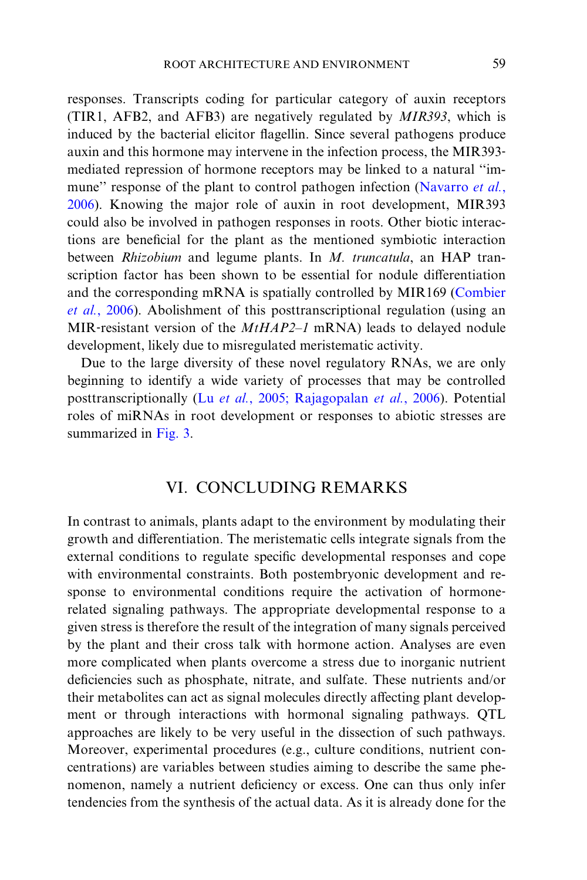<span id="page-24-0"></span>responses. Transcripts coding for particular category of auxin receptors (TIR1, AFB2, and AFB3) are negatively regulated by MIR393, which is induced by the bacterial elicitor flagellin. Since several pathogens produce auxin and this hormone may intervene in the infection process, the MIR393‐ mediated repression of hormone receptors may be linked to a natural ''im-mune" response of the plant to control pathogen infection ([Navarro](#page-27-0) et al., [2006](#page-27-0)). Knowing the major role of auxin in root development, MIR393 could also be involved in pathogen responses in roots. Other biotic interactions are beneficial for the plant as the mentioned symbiotic interaction between Rhizobium and legume plants. In M. truncatula, an HAP transcription factor has been shown to be essential for nodule differentiation and the corresponding mRNA is spatially controlled by MIR169 ([Combier](#page-27-0) et al., [2006](#page-27-0)). Abolishment of this posttranscriptional regulation (using an MIR-resistant version of the  $MtHAP-1$  mRNA) leads to delayed nodule development, likely due to misregulated meristematic activity.

Due to the large diversity of these novel regulatory RNAs, we are only beginning to identify a wide variety of processes that may be controlled posttranscriptionally (Lu et al., 2005; [Rajagopalan](#page-27-0) et al., 2006). Potential roles of miRNAs in root development or responses to abiotic stresses are summarized in [Fig.](#page-27-0) 3.

# VI. CONCLUDING REMARKS

In contrast to animals, plants adapt to the environment by modulating their growth and differentiation. The meristematic cells integrate signals from the external conditions to regulate specific developmental responses and cope with environmental constraints. Both postembryonic development and response to environmental conditions require the activation of hormonerelated signaling pathways. The appropriate developmental response to a given stress is therefore the result of the integration of many signals perceived by the plant and their cross talk with hormone action. Analyses are even more complicated when plants overcome a stress due to inorganic nutrient deficiencies such as phosphate, nitrate, and sulfate. These nutrients and/or their metabolites can act as signal molecules directly affecting plant development or through interactions with hormonal signaling pathways. QTL approaches are likely to be very useful in the dissection of such pathways. Moreover, experimental procedures (e.g., culture conditions, nutrient concentrations) are variables between studies aiming to describe the same phenomenon, namely a nutrient deficiency or excess. One can thus only infer tendencies from the synthesis of the actual data. As it is already done for the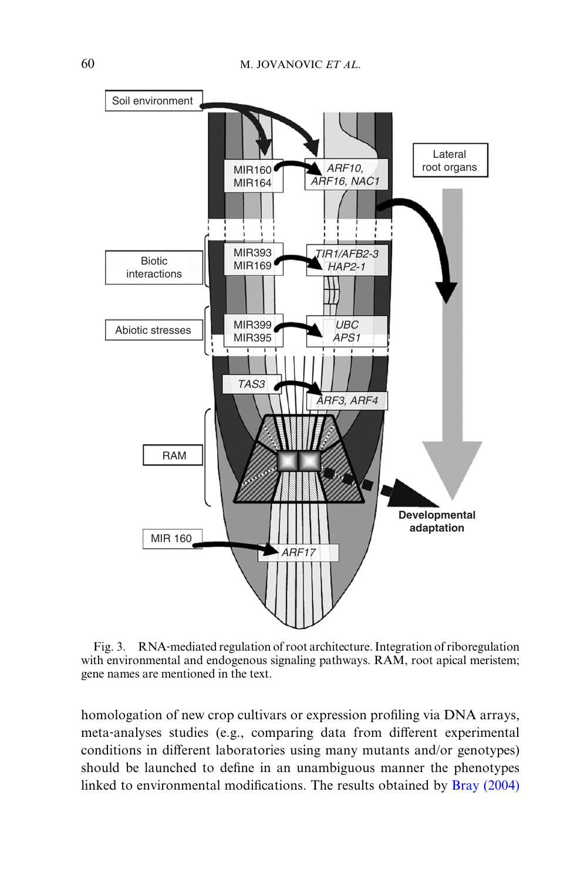

Fig. 3. RNA-mediated regulation of root architecture. Integration of riboregulation with environmental and endogenous signaling pathways. RAM, root apical meristem; gene names are mentioned in the text.

homologation of new crop cultivars or expression profiling via DNA arrays, meta-analyses studies (e.g., comparing data from different experimental conditions in different laboratories using many mutants and/or genotypes) should be launched to define in an unambiguous manner the phenotypes linked to environmental modifications. The results obtained by Bray [\(2004\)](#page-27-0)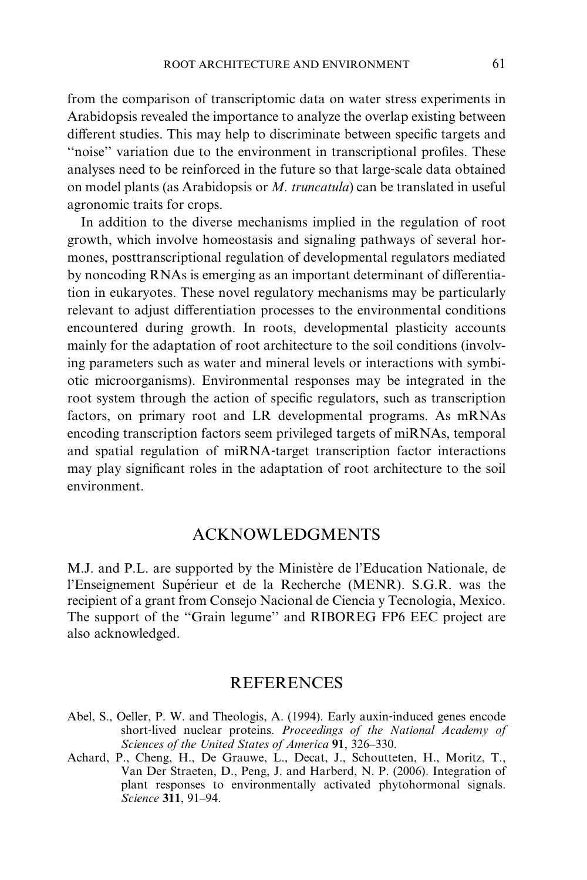from the comparison of transcriptomic data on water stress experiments in Arabidopsis revealed the importance to analyze the overlap existing between different studies. This may help to discriminate between specific targets and "noise" variation due to the environment in transcriptional profiles. These analyses need to be reinforced in the future so that large‐scale data obtained on model plants (as Arabidopsis or M. truncatula) can be translated in useful agronomic traits for crops.

In addition to the diverse mechanisms implied in the regulation of root growth, which involve homeostasis and signaling pathways of several hormones, posttranscriptional regulation of developmental regulators mediated by noncoding RNAs is emerging as an important determinant of differentiation in eukaryotes. These novel regulatory mechanisms may be particularly relevant to adjust differentiation processes to the environmental conditions encountered during growth. In roots, developmental plasticity accounts mainly for the adaptation of root architecture to the soil conditions (involving parameters such as water and mineral levels or interactions with symbiotic microorganisms). Environmental responses may be integrated in the root system through the action of specific regulators, such as transcription factors, on primary root and LR developmental programs. As mRNAs encoding transcription factors seem privileged targets of miRNAs, temporal and spatial regulation of miRNA‐target transcription factor interactions may play significant roles in the adaptation of root architecture to the soil environment.

## ACKNOWLEDGMENTS

M.J. and P.L. are supported by the Ministère de l'Education Nationale, de l'Enseignement Supérieur et de la Recherche (MENR). S.G.R. was the recipient of a grant from Consejo Nacional de Ciencia y Tecnologia, Mexico. The support of the ''Grain legume'' and RIBOREG FP6 EEC project are also acknowledged.

# REFERENCES

- Abel, S., Oeller, P. W. and Theologis, A. (1994). Early auxin‐induced genes encode short-lived nuclear proteins. Proceedings of the National Academy of Sciences of the United States of America 91, 326–330.
- Achard, P., Cheng, H., De Grauwe, L., Decat, J., Schoutteten, H., Moritz, T., Van Der Straeten, D., Peng, J. and Harberd, N. P. (2006). Integration of plant responses to environmentally activated phytohormonal signals. Science 311, 91–94.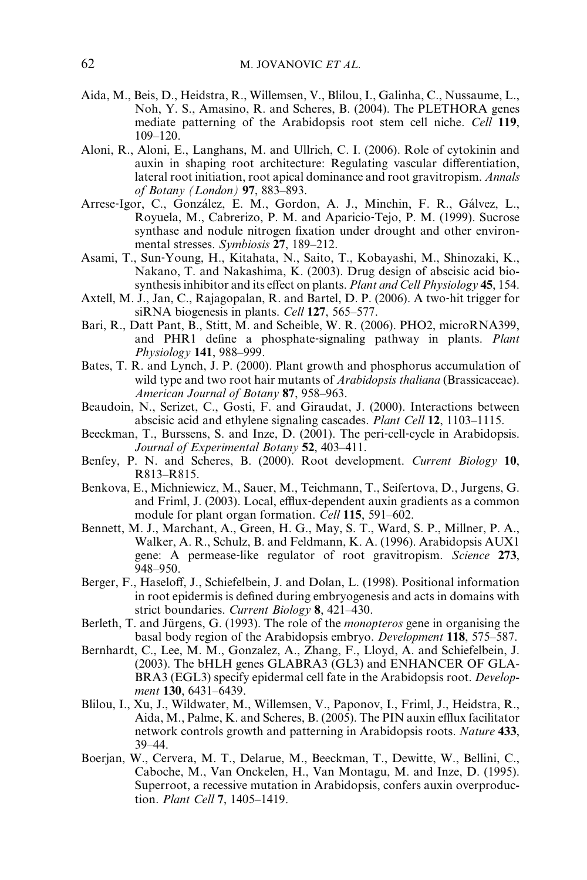- <span id="page-27-0"></span>Aida, M., Beis, D., Heidstra, R., Willemsen, V., Blilou, I., Galinha, C., Nussaume, L., Noh, Y. S., Amasino, R. and Scheres, B. (2004). The PLETHORA genes mediate patterning of the Arabidopsis root stem cell niche. Cell 119, 109–120.
- Aloni, R., Aloni, E., Langhans, M. and Ullrich, C. I. (2006). Role of cytokinin and auxin in shaping root architecture: Regulating vascular differentiation, lateral root initiation, root apical dominance and root gravitropism. Annals of Botany (London) 97, 883–893.
- Arrese-Igor, C., González, E. M., Gordon, A. J., Minchin, F. R., Gálvez, L., Royuela, M., Cabrerizo, P. M. and Aparicio‐Tejo, P. M. (1999). Sucrose synthase and nodule nitrogen fixation under drought and other environmental stresses. Symbiosis 27, 189–212.
- Asami, T., Sun‐Young, H., Kitahata, N., Saito, T., Kobayashi, M., Shinozaki, K., Nakano, T. and Nakashima, K. (2003). Drug design of abscisic acid biosynthesis inhibitor and its effect on plants. Plant and Cell Physiology 45, 154.
- Axtell, M. J., Jan, C., Rajagopalan, R. and Bartel, D. P. (2006). A two‐hit trigger for siRNA biogenesis in plants. Cell 127, 565–577.
- Bari, R., Datt Pant, B., Stitt, M. and Scheible, W. R. (2006). PHO2, microRNA399, and PHR1 define a phosphate-signaling pathway in plants. Plant Physiology 141, 988–999.
- Bates, T. R. and Lynch, J. P. (2000). Plant growth and phosphorus accumulation of wild type and two root hair mutants of Arabidopsis thaliana (Brassicaceae). American Journal of Botany 87, 958–963.
- Beaudoin, N., Serizet, C., Gosti, F. and Giraudat, J. (2000). Interactions between abscisic acid and ethylene signaling cascades. Plant Cell 12, 1103–1115.
- Beeckman, T., Burssens, S. and Inze, D. (2001). The peri-cell-cycle in Arabidopsis. Journal of Experimental Botany 52, 403-411.
- Benfey, P. N. and Scheres, B. (2000). Root development. Current Biology 10, R813–R815.
- Benkova, E., Michniewicz, M., Sauer, M., Teichmann, T., Seifertova, D., Jurgens, G. and Friml, J. (2003). Local, efflux-dependent auxin gradients as a common module for plant organ formation. Cell 115, 591-602.
- Bennett, M. J., Marchant, A., Green, H. G., May, S. T., Ward, S. P., Millner, P. A., Walker, A. R., Schulz, B. and Feldmann, K. A. (1996). Arabidopsis AUX1 gene: A permease-like regulator of root gravitropism. Science 273, 948–950.
- Berger, F., Haseloff, J., Schiefelbein, J. and Dolan, L. (1998). Positional information in root epidermis is defined during embryogenesis and acts in domains with strict boundaries. Current Biology 8, 421-430.
- Berleth, T. and Jürgens, G. (1993). The role of the *monopteros* gene in organising the basal body region of the Arabidopsis embryo. Development 118, 575–587.
- Bernhardt, C., Lee, M. M., Gonzalez, A., Zhang, F., Lloyd, A. and Schiefelbein, J. (2003). The bHLH genes GLABRA3 (GL3) and ENHANCER OF GLA-BRA3 (EGL3) specify epidermal cell fate in the Arabidopsis root. Development 130, 6431–6439.
- Blilou, I., Xu, J., Wildwater, M., Willemsen, V., Paponov, I., Friml, J., Heidstra, R., Aida, M., Palme, K. and Scheres, B. (2005). The PIN auxin efflux facilitator network controls growth and patterning in Arabidopsis roots. Nature 433, 39–44.
- Boerjan, W., Cervera, M. T., Delarue, M., Beeckman, T., Dewitte, W., Bellini, C., Caboche, M., Van Onckelen, H., Van Montagu, M. and Inze, D. (1995). Superroot, a recessive mutation in Arabidopsis, confers auxin overproduction. Plant Cell 7, 1405–1419.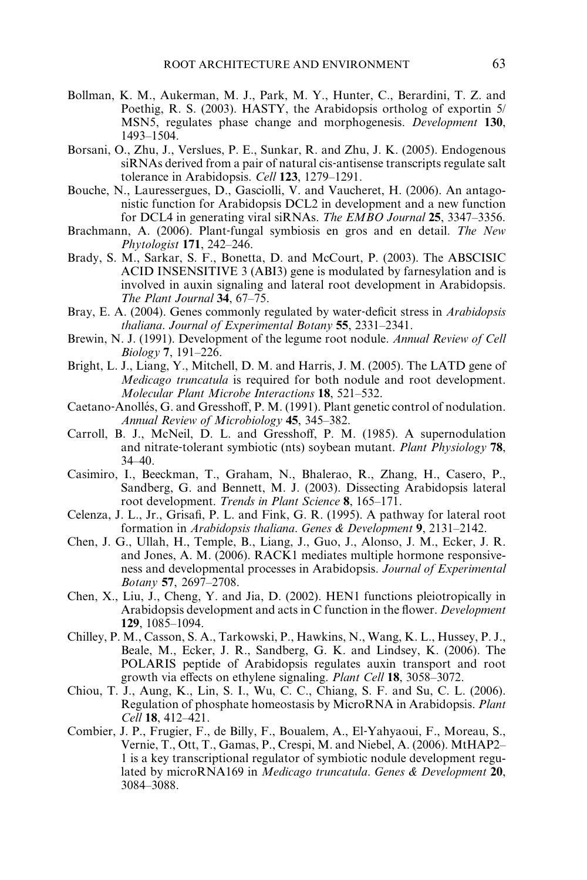- <span id="page-28-0"></span>Bollman, K. M., Aukerman, M. J., Park, M. Y., Hunter, C., Berardini, T. Z. and Poethig, R. S. (2003). HASTY, the Arabidopsis ortholog of exportin 5/ MSN5, regulates phase change and morphogenesis. Development 130, 1493–1504.
- Borsani, O., Zhu, J., Verslues, P. E., Sunkar, R. and Zhu, J. K. (2005). Endogenous siRNAs derived from a pair of natural cis-antisense transcripts regulate salt tolerance in Arabidopsis. Cell 123, 1279-1291.
- Bouche, N., Lauressergues, D., Gasciolli, V. and Vaucheret, H. (2006). An antagonistic function for Arabidopsis DCL2 in development and a new function for DCL4 in generating viral siRNAs. *The EMBO Journal* 25, 3347–3356.
- Brachmann, A. (2006). Plant‐fungal symbiosis en gros and en detail. The New Phytologist 171, 242–246.
- Brady, S. M., Sarkar, S. F., Bonetta, D. and McCourt, P. (2003). The ABSCISIC ACID INSENSITIVE 3 (ABI3) gene is modulated by farnesylation and is involved in auxin signaling and lateral root development in Arabidopsis. The Plant Journal 34, 67–75.
- Bray, E. A. (2004). Genes commonly regulated by water-deficit stress in Arabidopsis thaliana. Journal of Experimental Botany 55, 2331–2341.
- Brewin, N. J. (1991). Development of the legume root nodule. Annual Review of Cell Biology 7, 191–226.
- Bright, L. J., Liang, Y., Mitchell, D. M. and Harris, J. M. (2005). The LATD gene of Medicago truncatula is required for both nodule and root development. Molecular Plant Microbe Interactions 18, 521–532.
- Caetano-Anollés, G. and Gresshoff, P. M. (1991). Plant genetic control of nodulation. Annual Review of Microbiology 45, 345-382.
- Carroll, B. J., McNeil, D. L. and Gresshoff, P. M. (1985). A supernodulation and nitrate-tolerant symbiotic (nts) soybean mutant. Plant Physiology 78, 34–40.
- Casimiro, I., Beeckman, T., Graham, N., Bhalerao, R., Zhang, H., Casero, P., Sandberg, G. and Bennett, M. J. (2003). Dissecting Arabidopsis lateral root development. Trends in Plant Science 8, 165-171.
- Celenza, J. L., Jr., Grisafi, P. L. and Fink, G. R. (1995). A pathway for lateral root formation in Arabidopsis thaliana. Genes & Development 9, 2131–2142.
- Chen, J. G., Ullah, H., Temple, B., Liang, J., Guo, J., Alonso, J. M., Ecker, J. R. and Jones, A. M. (2006). RACK1 mediates multiple hormone responsiveness and developmental processes in Arabidopsis. Journal of Experimental Botany 57, 2697–2708.
- Chen, X., Liu, J., Cheng, Y. and Jia, D. (2002). HEN1 functions pleiotropically in Arabidopsis development and acts in C function in the flower. Development 129, 1085–1094.
- Chilley, P. M., Casson, S. A., Tarkowski, P., Hawkins, N., Wang, K. L., Hussey, P. J., Beale, M., Ecker, J. R., Sandberg, G. K. and Lindsey, K. (2006). The POLARIS peptide of Arabidopsis regulates auxin transport and root growth via effects on ethylene signaling. Plant Cell 18, 3058-3072.
- Chiou, T. J., Aung, K., Lin, S. I., Wu, C. C., Chiang, S. F. and Su, C. L. (2006). Regulation of phosphate homeostasis by MicroRNA in Arabidopsis. Plant Cell 18, 412–421.
- Combier, J. P., Frugier, F., de Billy, F., Boualem, A., El‐Yahyaoui, F., Moreau, S., Vernie, T., Ott, T., Gamas, P., Crespi, M. and Niebel, A. (2006). MtHAP2– 1 is a key transcriptional regulator of symbiotic nodule development regulated by microRNA169 in Medicago truncatula. Genes & Development 20, 3084–3088.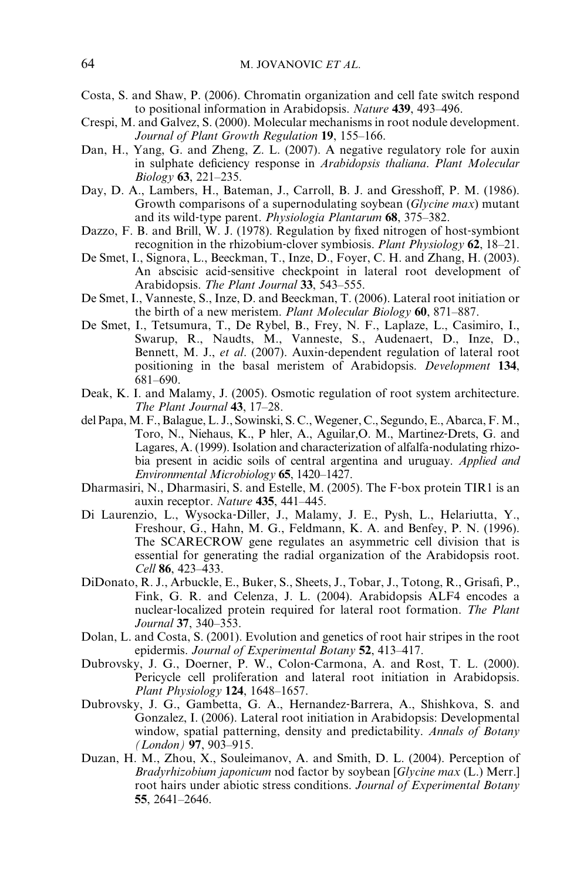- Costa, S. and Shaw, P. (2006). Chromatin organization and cell fate switch respond to positional information in Arabidopsis. Nature 439, 493–496.
- Crespi, M. and Galvez, S. (2000). Molecular mechanisms in root nodule development. Journal of Plant Growth Regulation 19, 155-166.
- Dan, H., Yang, G. and Zheng, Z. L. (2007). A negative regulatory role for auxin in sulphate deficiency response in Arabidopsis thaliana. Plant Molecular Biology 63, 221–235.
- Day, D. A., Lambers, H., Bateman, J., Carroll, B. J. and Gresshoff, P. M. (1986). Growth comparisons of a supernodulating soybean (*Glycine max*) mutant and its wild‐type parent. Physiologia Plantarum 68, 375–382.
- Dazzo, F. B. and Brill, W. J. (1978). Regulation by fixed nitrogen of host-symbiont recognition in the rhizobium-clover symbiosis. Plant Physiology 62, 18–21.
- De Smet, I., Signora, L., Beeckman, T., Inze, D., Foyer, C. H. and Zhang, H. (2003). An abscisic acid‐sensitive checkpoint in lateral root development of Arabidopsis. The Plant Journal 33, 543–555.
- De Smet, I., Vanneste, S., Inze, D. and Beeckman, T. (2006). Lateral root initiation or the birth of a new meristem. Plant Molecular Biology 60, 871–887.
- De Smet, I., Tetsumura, T., De Rybel, B., Frey, N. F., Laplaze, L., Casimiro, I., Swarup, R., Naudts, M., Vanneste, S., Audenaert, D., Inze, D., Bennett, M. J., et al. (2007). Auxin-dependent regulation of lateral root positioning in the basal meristem of Arabidopsis. Development 134, 681–690.
- Deak, K. I. and Malamy, J. (2005). Osmotic regulation of root system architecture. The Plant Journal 43, 17-28.
- del Papa, M.F.,Balague,L. J., Sowinski, S. C.,Wegener, C., Segundo,E., Abarca,F.M., Toro, N., Niehaus, K., P hler, A., Aguilar,O. M., Martinez‐Drets, G. and Lagares, A. (1999). Isolation and characterization of alfalfa‐nodulating rhizobia present in acidic soils of central argentina and uruguay. Applied and Environmental Microbiology  $65$ , 1420-1427.
- Dharmasiri, N., Dharmasiri, S. and Estelle, M. (2005). The F‐box protein TIR1 is an auxin receptor. Nature 435, 441–445.
- Di Laurenzio, L., Wysocka‐Diller, J., Malamy, J. E., Pysh, L., Helariutta, Y., Freshour, G., Hahn, M. G., Feldmann, K. A. and Benfey, P. N. (1996). The SCARECROW gene regulates an asymmetric cell division that is essential for generating the radial organization of the Arabidopsis root. Cell 86, 423–433.
- DiDonato, R. J., Arbuckle, E., Buker, S., Sheets, J., Tobar, J., Totong, R., Grisafi, P., Fink, G. R. and Celenza, J. L. (2004). Arabidopsis ALF4 encodes a nuclear‐localized protein required for lateral root formation. The Plant Journal 37, 340–353.
- Dolan, L. and Costa, S. (2001). Evolution and genetics of root hair stripes in the root epidermis. Journal of Experimental Botany 52, 413-417.
- Dubrovsky, J. G., Doerner, P. W., Colon‐Carmona, A. and Rost, T. L. (2000). Pericycle cell proliferation and lateral root initiation in Arabidopsis. Plant Physiology 124, 1648-1657.
- Dubrovsky, J. G., Gambetta, G. A., Hernandez‐Barrera, A., Shishkova, S. and Gonzalez, I. (2006). Lateral root initiation in Arabidopsis: Developmental window, spatial patterning, density and predictability. Annals of Botany (London) 97, 903–915.
- Duzan, H. M., Zhou, X., Souleimanov, A. and Smith, D. L. (2004). Perception of Bradyrhizobium japonicum nod factor by soybean [Glycine max (L.) Merr.] root hairs under abiotic stress conditions. Journal of Experimental Botany 55, 2641–2646.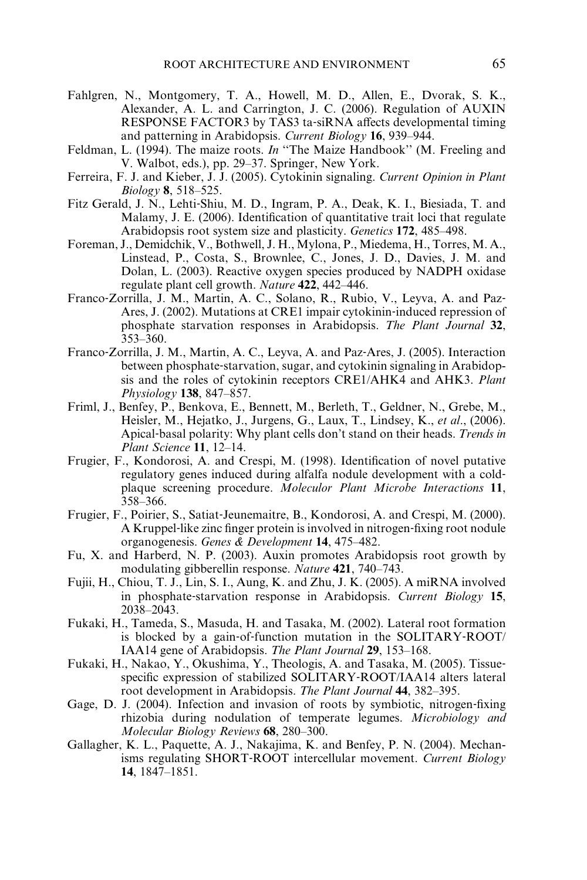- <span id="page-30-0"></span>Fahlgren, N., Montgomery, T. A., Howell, M. D., Allen, E., Dvorak, S. K., Alexander, A. L. and Carrington, J. C. (2006). Regulation of AUXIN RESPONSE FACTOR3 by TAS3 ta-siRNA affects developmental timing and patterning in Arabidopsis. Current Biology 16, 939–944.
- Feldman, L. (1994). The maize roots. In ''The Maize Handbook'' (M. Freeling and V. Walbot, eds.), pp. 29–37. Springer, New York.
- Ferreira, F. J. and Kieber, J. J. (2005). Cytokinin signaling. Current Opinion in Plant Biology 8, 518–525.
- Fitz Gerald, J. N., Lehti‐Shiu, M. D., Ingram, P. A., Deak, K. I., Biesiada, T. and Malamy, J. E. (2006). Identification of quantitative trait loci that regulate Arabidopsis root system size and plasticity. Genetics 172, 485–498.
- Foreman, J., Demidchik, V., Bothwell, J. H., Mylona, P., Miedema, H., Torres, M. A., Linstead, P., Costa, S., Brownlee, C., Jones, J. D., Davies, J. M. and Dolan, L. (2003). Reactive oxygen species produced by NADPH oxidase regulate plant cell growth. Nature 422, 442–446.
- Franco-Zorrilla, J. M., Martin, A. C., Solano, R., Rubio, V., Leyva, A. and Paz-Ares, J. (2002). Mutations at CRE1 impair cytokinin‐induced repression of phosphate starvation responses in Arabidopsis. The Plant Journal 32, 353–360.
- Franco‐Zorrilla, J. M., Martin, A. C., Leyva, A. and Paz‐Ares, J. (2005). Interaction between phosphate‐starvation, sugar, and cytokinin signaling in Arabidopsis and the roles of cytokinin receptors CRE1/AHK4 and AHK3. Plant Physiology 138, 847–857.
- Friml, J., Benfey, P., Benkova, E., Bennett, M., Berleth, T., Geldner, N., Grebe, M., Heisler, M., Hejatko, J., Jurgens, G., Laux, T., Lindsey, K., et al., (2006). Apical-basal polarity: Why plant cells don't stand on their heads. Trends in Plant Science 11, 12–14.
- Frugier, F., Kondorosi, A. and Crespi, M. (1998). Identification of novel putative regulatory genes induced during alfalfa nodule development with a cold‐ plaque screening procedure. Moleculor Plant Microbe Interactions 11, 358–366.
- Frugier, F., Poirier, S., Satiat‐Jeunemaitre, B., Kondorosi, A. and Crespi, M. (2000). A Kruppel‐like zinc finger protein is involved in nitrogen‐fixing root nodule organogenesis. Genes & Development 14, 475–482.
- Fu, X. and Harberd, N. P. (2003). Auxin promotes Arabidopsis root growth by modulating gibberellin response. Nature 421, 740-743.
- Fujii, H., Chiou, T. J., Lin, S. I., Aung, K. and Zhu, J. K. (2005). A miRNA involved in phosphate-starvation response in Arabidopsis. Current Biology 15, 2038–2043.
- Fukaki, H., Tameda, S., Masuda, H. and Tasaka, M. (2002). Lateral root formation is blocked by a gain-of-function mutation in the SOLITARY-ROOT/ IAA14 gene of Arabidopsis. The Plant Journal 29, 153–168.
- Fukaki, H., Nakao, Y., Okushima, Y., Theologis, A. and Tasaka, M. (2005). Tissue‐ specific expression of stabilized SOLITARY‐ROOT/IAA14 alters lateral root development in Arabidopsis. The Plant Journal 44, 382-395.
- Gage, D. J. (2004). Infection and invasion of roots by symbiotic, nitrogen‐fixing rhizobia during nodulation of temperate legumes. Microbiology and Molecular Biology Reviews 68, 280–300.
- Gallagher, K. L., Paquette, A. J., Nakajima, K. and Benfey, P. N. (2004). Mechanisms regulating SHORT-ROOT intercellular movement. Current Biology 14, 1847–1851.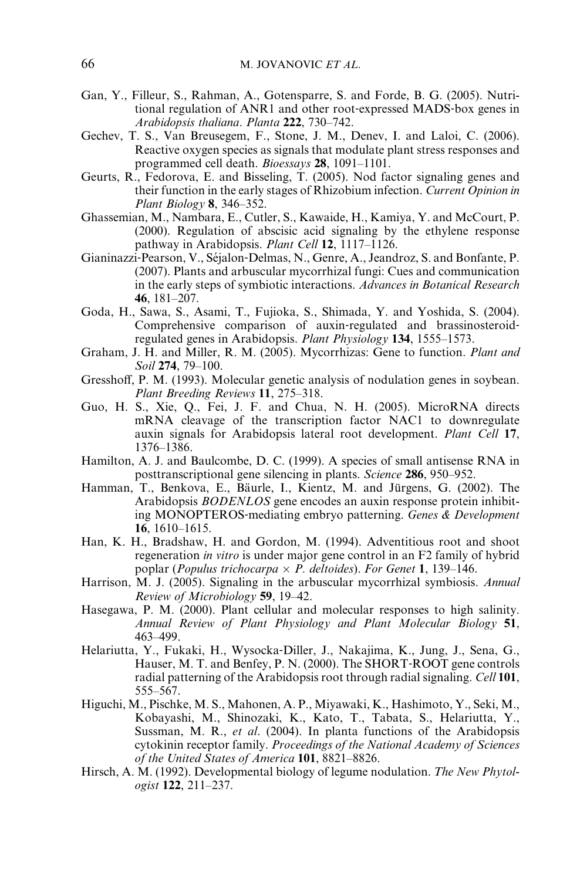- Gan, Y., Filleur, S., Rahman, A., Gotensparre, S. and Forde, B. G. (2005). Nutritional regulation of ANR1 and other root‐expressed MADS‐box genes in Arabidopsis thaliana. Planta 222, 730–742.
- Gechev, T. S., Van Breusegem, F., Stone, J. M., Denev, I. and Laloi, C. (2006). Reactive oxygen species as signals that modulate plant stress responses and programmed cell death. Bioessays 28, 1091–1101.
- Geurts, R., Fedorova, E. and Bisseling, T. (2005). Nod factor signaling genes and their function in the early stages of Rhizobium infection. Current Opinion in Plant Biology 8, 346–352.
- Ghassemian, M., Nambara, E., Cutler, S., Kawaide, H., Kamiya, Y. and McCourt, P. (2000). Regulation of abscisic acid signaling by the ethylene response pathway in Arabidopsis. Plant Cell 12, 1117–1126.
- Gianinazzi-Pearson, V., Séjalon-Delmas, N., Genre, A., Jeandroz, S. and Bonfante, P. (2007). Plants and arbuscular mycorrhizal fungi: Cues and communication in the early steps of symbiotic interactions. Advances in Botanical Research 46, 181–207.
- Goda, H., Sawa, S., Asami, T., Fujioka, S., Shimada, Y. and Yoshida, S. (2004). Comprehensive comparison of auxin-regulated and brassinosteroidregulated genes in Arabidopsis. Plant Physiology 134, 1555–1573.
- Graham, J. H. and Miller, R. M. (2005). Mycorrhizas: Gene to function. Plant and Soil 274, 79-100.
- Gresshoff, P. M. (1993). Molecular genetic analysis of nodulation genes in soybean. Plant Breeding Reviews 11, 275–318.
- Guo, H. S., Xie, Q., Fei, J. F. and Chua, N. H. (2005). MicroRNA directs mRNA cleavage of the transcription factor NAC1 to downregulate auxin signals for Arabidopsis lateral root development. Plant Cell 17, 1376–1386.
- Hamilton, A. J. and Baulcombe, D. C. (1999). A species of small antisense RNA in posttranscriptional gene silencing in plants. Science 286, 950–952.
- Hamman, T., Benkova, E., Bäurle, I., Kientz, M. and Jürgens, G. (2002). The Arabidopsis BODENLOS gene encodes an auxin response protein inhibiting MONOPTEROS‐mediating embryo patterning. Genes & Development 16, 1610–1615.
- Han, K. H., Bradshaw, H. and Gordon, M. (1994). Adventitious root and shoot regeneration in vitro is under major gene control in an F2 family of hybrid poplar (Populus trichocarpa  $\times$  P. deltoides). For Genet 1, 139-146.
- Harrison, M. J. (2005). Signaling in the arbuscular mycorrhizal symbiosis. Annual Review of Microbiology 59, 19–42.
- Hasegawa, P. M. (2000). Plant cellular and molecular responses to high salinity. Annual Review of Plant Physiology and Plant Molecular Biology 51, 463–499.
- Helariutta, Y., Fukaki, H., Wysocka‐Diller, J., Nakajima, K., Jung, J., Sena, G., Hauser, M. T. and Benfey, P. N. (2000). The SHORT-ROOT gene controls radial patterning of the Arabidopsis root through radial signaling. Cell 101, 555–567.
- Higuchi, M., Pischke, M. S., Mahonen, A. P., Miyawaki, K., Hashimoto, Y., Seki, M., Kobayashi, M., Shinozaki, K., Kato, T., Tabata, S., Helariutta, Y., Sussman, M. R., et al. (2004). In planta functions of the Arabidopsis cytokinin receptor family. Proceedings of the National Academy of Sciences of the United States of America 101, 8821–8826.
- Hirsch, A. M. (1992). Developmental biology of legume nodulation. The New Phytologist 122, 211–237.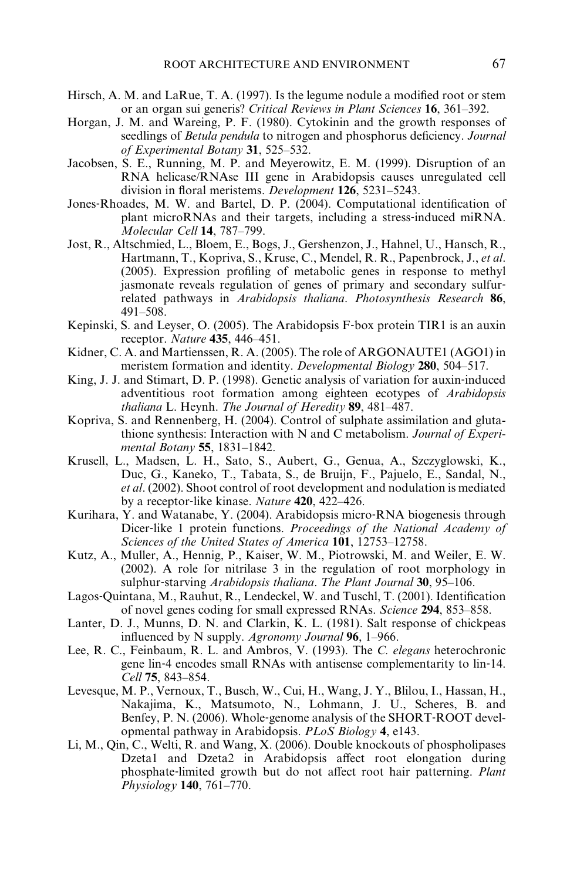- Hirsch, A. M. and LaRue, T. A. (1997). Is the legume nodule a modified root or stem or an organ sui generis? Critical Reviews in Plant Sciences 16, 361–392.
- Horgan, J. M. and Wareing, P. F. (1980). Cytokinin and the growth responses of seedlings of Betula pendula to nitrogen and phosphorus deficiency. Journal of Experimental Botany 31, 525–532.
- Jacobsen, S. E., Running, M. P. and Meyerowitz, E. M. (1999). Disruption of an RNA helicase/RNAse III gene in Arabidopsis causes unregulated cell division in floral meristems. Development 126, 5231–5243.
- Jones‐Rhoades, M. W. and Bartel, D. P. (2004). Computational identification of plant microRNAs and their targets, including a stress-induced miRNA. Molecular Cell 14, 787–799.
- Jost, R., Altschmied, L., Bloem, E., Bogs, J., Gershenzon, J., Hahnel, U., Hansch, R., Hartmann, T., Kopriva, S., Kruse, C., Mendel, R. R., Papenbrock, J., et al. (2005). Expression profiling of metabolic genes in response to methyl jasmonate reveals regulation of genes of primary and secondary sulfur‐ related pathways in Arabidopsis thaliana. Photosynthesis Research 86, 491–508.
- Kepinski, S. and Leyser, O. (2005). The Arabidopsis F-box protein TIR1 is an auxin receptor. Nature 435, 446-451.
- Kidner, C. A. and Martienssen, R. A. (2005). The role of ARGONAUTE1 (AGO1) in meristem formation and identity. Developmental Biology 280, 504-517.
- King, J. J. and Stimart, D. P. (1998). Genetic analysis of variation for auxin-induced adventitious root formation among eighteen ecotypes of Arabidopsis thaliana L. Heynh. The Journal of Heredity 89, 481-487.
- Kopriva, S. and Rennenberg, H. (2004). Control of sulphate assimilation and glutathione synthesis: Interaction with N and C metabolism. Journal of Experimental Botany 55, 1831–1842.
- Krusell, L., Madsen, L. H., Sato, S., Aubert, G., Genua, A., Szczyglowski, K., Duc, G., Kaneko, T., Tabata, S., de Bruijn, F., Pajuelo, E., Sandal, N., et al. (2002). Shoot control of root development and nodulation is mediated by a receptor-like kinase. Nature 420, 422–426.
- Kurihara, Y. and Watanabe, Y. (2004). Arabidopsis micro‐RNA biogenesis through Dicer-like 1 protein functions. Proceedings of the National Academy of Sciences of the United States of America 101, 12753–12758.
- Kutz, A., Muller, A., Hennig, P., Kaiser, W. M., Piotrowski, M. and Weiler, E. W. (2002). A role for nitrilase 3 in the regulation of root morphology in sulphur-starving Arabidopsis thaliana. The Plant Journal 30, 95-106.
- Lagos‐Quintana, M., Rauhut, R., Lendeckel, W. and Tuschl, T. (2001). Identification of novel genes coding for small expressed RNAs. Science 294, 853–858.
- Lanter, D. J., Munns, D. N. and Clarkin, K. L. (1981). Salt response of chickpeas influenced by N supply. Agronomy Journal 96, 1–966.
- Lee, R. C., Feinbaum, R. L. and Ambros, V. (1993). The C. elegans heterochronic gene lin‐4 encodes small RNAs with antisense complementarity to lin‐14. Cell 75, 843–854.
- Levesque, M. P., Vernoux, T., Busch, W., Cui, H., Wang, J. Y., Blilou, I., Hassan, H., Nakajima, K., Matsumoto, N., Lohmann, J. U., Scheres, B. and Benfey, P. N. (2006). Whole-genome analysis of the SHORT-ROOT developmental pathway in Arabidopsis. PLoS Biology 4, e143.
- Li, M., Qin, C., Welti, R. and Wang, X. (2006). Double knockouts of phospholipases Dzeta1 and Dzeta2 in Arabidopsis affect root elongation during phosphate-limited growth but do not affect root hair patterning. Plant Physiology 140, 761–770.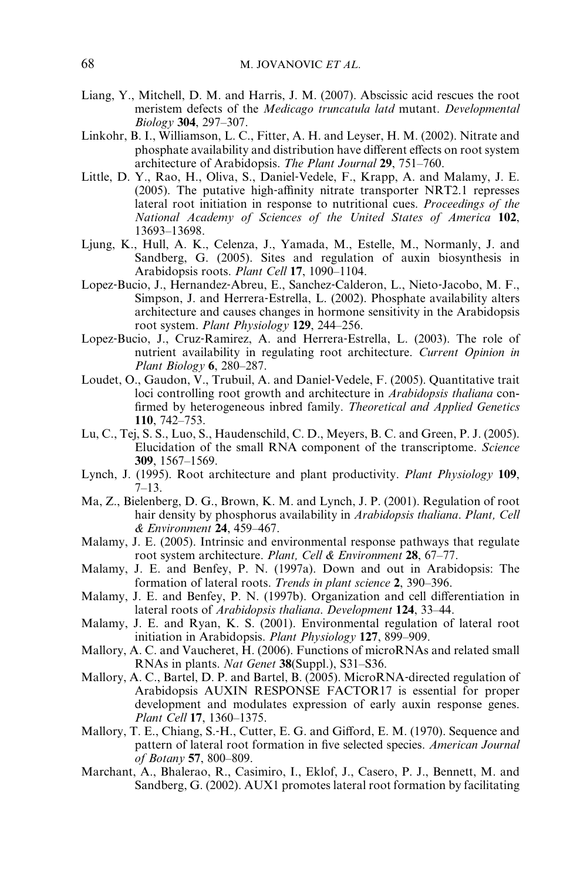- Liang, Y., Mitchell, D. M. and Harris, J. M. (2007). Abscissic acid rescues the root meristem defects of the Medicago truncatula latd mutant. Developmental Biology 304, 297–307.
- Linkohr, B. I., Williamson, L. C., Fitter, A. H. and Leyser, H. M. (2002). Nitrate and phosphate availability and distribution have different effects on root system architecture of Arabidopsis. The Plant Journal 29, 751–760.
- Little, D. Y., Rao, H., Oliva, S., Daniel‐Vedele, F., Krapp, A. and Malamy, J. E.  $(2005)$ . The putative high-affinity nitrate transporter NRT2.1 represses lateral root initiation in response to nutritional cues. Proceedings of the National Academy of Sciences of the United States of America 102, 13693–13698.
- Ljung, K., Hull, A. K., Celenza, J., Yamada, M., Estelle, M., Normanly, J. and Sandberg, G. (2005). Sites and regulation of auxin biosynthesis in Arabidopsis roots. Plant Cell 17, 1090–1104.
- Lopez‐Bucio, J., Hernandez‐Abreu, E., Sanchez‐Calderon, L., Nieto‐Jacobo, M. F., Simpson, J. and Herrera‐Estrella, L. (2002). Phosphate availability alters architecture and causes changes in hormone sensitivity in the Arabidopsis root system. Plant Physiology 129, 244–256.
- Lopez‐Bucio, J., Cruz‐Ramirez, A. and Herrera‐Estrella, L. (2003). The role of nutrient availability in regulating root architecture. Current Opinion in Plant Biology 6, 280–287.
- Loudet, O., Gaudon, V., Trubuil, A. and Daniel‐Vedele, F. (2005). Quantitative trait loci controlling root growth and architecture in Arabidopsis thaliana confirmed by heterogeneous inbred family. Theoretical and Applied Genetics 110, 742–753.
- Lu, C., Tej, S. S., Luo, S., Haudenschild, C. D., Meyers, B. C. and Green, P. J. (2005). Elucidation of the small RNA component of the transcriptome. Science 309, 1567–1569.
- Lynch, J. (1995). Root architecture and plant productivity. Plant Physiology 109, 7–13.
- Ma, Z., Bielenberg, D. G., Brown, K. M. and Lynch, J. P. (2001). Regulation of root hair density by phosphorus availability in Arabidopsis thaliana. Plant, Cell & Environment 24, 459–467.
- Malamy, J. E. (2005). Intrinsic and environmental response pathways that regulate root system architecture. Plant, Cell & Environment 28, 67-77.
- Malamy, J. E. and Benfey, P. N. (1997a). Down and out in Arabidopsis: The formation of lateral roots. Trends in plant science 2, 390–396.
- Malamy, J. E. and Benfey, P. N. (1997b). Organization and cell differentiation in lateral roots of Arabidopsis thaliana. Development 124, 33–44.
- Malamy, J. E. and Ryan, K. S. (2001). Environmental regulation of lateral root initiation in Arabidopsis. Plant Physiology 127, 899–909.
- Mallory, A. C. and Vaucheret, H. (2006). Functions of microRNAs and related small RNAs in plants. Nat Genet 38(Suppl.), S31–S36.
- Mallory, A. C., Bartel, D. P. and Bartel, B. (2005). MicroRNA‐directed regulation of Arabidopsis AUXIN RESPONSE FACTOR17 is essential for proper development and modulates expression of early auxin response genes. Plant Cell 17, 1360–1375.
- Mallory, T. E., Chiang, S.-H., Cutter, E. G. and Gifford, E. M. (1970). Sequence and pattern of lateral root formation in five selected species. American Journal of Botany 57, 800–809.
- Marchant, A., Bhalerao, R., Casimiro, I., Eklof, J., Casero, P. J., Bennett, M. and Sandberg, G. (2002). AUX1 promotes lateral root formation by facilitating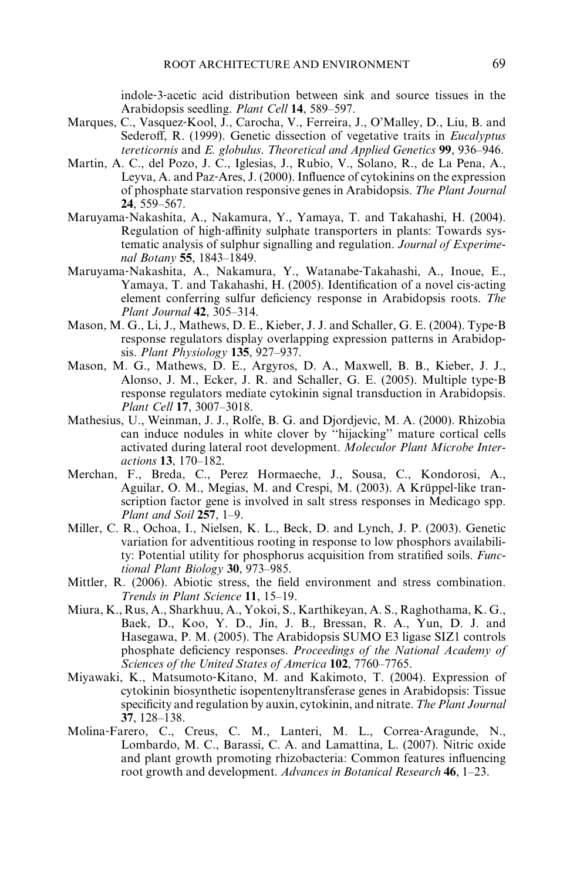indole‐3‐acetic acid distribution between sink and source tissues in the Arabidopsis seedling. Plant Cell 14, 589–597.

- <span id="page-34-0"></span>Marques, C., Vasquez‐Kool, J., Carocha, V., Ferreira, J., O'Malley, D., Liu, B. and Sederoff, R. (1999). Genetic dissection of vegetative traits in *Eucalyptus* tereticornis and E. globulus. Theoretical and Applied Genetics 99, 936-946.
- Martin, A. C., del Pozo, J. C., Iglesias, J., Rubio, V., Solano, R., de La Pena, A., Leyva, A. and Paz‐Ares, J. (2000). Influence of cytokinins on the expression of phosphate starvation responsive genes in Arabidopsis. The Plant Journal 24, 559–567.
- Maruyama‐Nakashita, A., Nakamura, Y., Yamaya, T. and Takahashi, H. (2004). Regulation of high-affinity sulphate transporters in plants: Towards systematic analysis of sulphur signalling and regulation. Journal of Experimenal Botany 55, 1843–1849.
- Maruyama‐Nakashita, A., Nakamura, Y., Watanabe‐Takahashi, A., Inoue, E., Yamaya, T. and Takahashi, H. (2005). Identification of a novel cis‐acting element conferring sulfur deficiency response in Arabidopsis roots. The Plant Journal 42, 305–314.
- Mason, M. G., Li, J., Mathews, D. E., Kieber, J. J. and Schaller, G. E. (2004). Type-B response regulators display overlapping expression patterns in Arabidopsis. Plant Physiology 135, 927–937.
- Mason, M. G., Mathews, D. E., Argyros, D. A., Maxwell, B. B., Kieber, J. J., Alonso, J. M., Ecker, J. R. and Schaller, G. E. (2005). Multiple type‐B response regulators mediate cytokinin signal transduction in Arabidopsis. Plant Cell 17, 3007–3018.
- Mathesius, U., Weinman, J. J., Rolfe, B. G. and Djordjevic, M. A. (2000). Rhizobia can induce nodules in white clover by ''hijacking'' mature cortical cells activated during lateral root development. Moleculor Plant Microbe Interactions 13, 170–182.
- Merchan, F., Breda, C., Perez Hormaeche, J., Sousa, C., Kondorosi, A., Aguilar, O. M., Megias, M. and Crespi, M. (2003). A Krüppel-like transcription factor gene is involved in salt stress responses in Medicago spp. Plant and Soil 257, 1-9.
- Miller, C. R., Ochoa, I., Nielsen, K. L., Beck, D. and Lynch, J. P. (2003). Genetic variation for adventitious rooting in response to low phosphors availability: Potential utility for phosphorus acquisition from stratified soils. Functional Plant Biology 30, 973–985.
- Mittler, R. (2006). Abiotic stress, the field environment and stress combination. Trends in Plant Science 11, 15–19.
- Miura, K., Rus, A., Sharkhuu, A., Yokoi, S., Karthikeyan, A. S., Raghothama, K. G., Baek, D., Koo, Y. D., Jin, J. B., Bressan, R. A., Yun, D. J. and Hasegawa, P. M. (2005). The Arabidopsis SUMO E3 ligase SIZ1 controls phosphate deficiency responses. Proceedings of the National Academy of Sciences of the United States of America 102, 7760-7765.
- Miyawaki, K., Matsumoto‐Kitano, M. and Kakimoto, T. (2004). Expression of cytokinin biosynthetic isopentenyltransferase genes in Arabidopsis: Tissue specificity and regulation by auxin, cytokinin, and nitrate. The Plant Journal 37, 128–138.
- Molina‐Farero, C., Creus, C. M., Lanteri, M. L., Correa‐Aragunde, N., Lombardo, M. C., Barassi, C. A. and Lamattina, L. (2007). Nitric oxide and plant growth promoting rhizobacteria: Common features influencing root growth and development. Advances in Botanical Research 46, 1–23.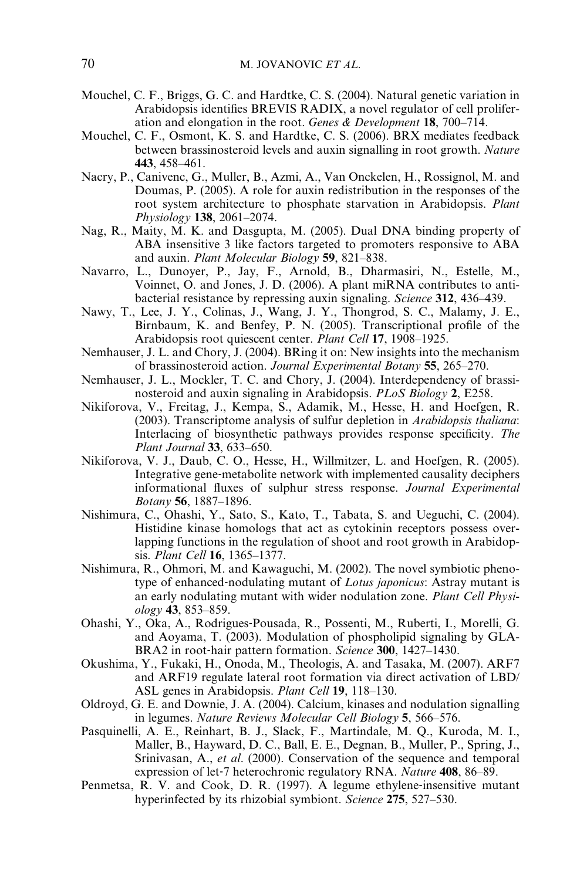- <span id="page-35-0"></span>Mouchel, C. F., Briggs, G. C. and Hardtke, C. S. (2004). Natural genetic variation in Arabidopsis identifies BREVIS RADIX, a novel regulator of cell proliferation and elongation in the root. Genes & Development 18, 700–714.
- Mouchel, C. F., Osmont, K. S. and Hardtke, C. S. (2006). BRX mediates feedback between brassinosteroid levels and auxin signalling in root growth. Nature 443, 458–461.
- Nacry, P., Canivenc, G., Muller, B., Azmi, A., Van Onckelen, H., Rossignol, M. and Doumas, P. (2005). A role for auxin redistribution in the responses of the root system architecture to phosphate starvation in Arabidopsis. Plant Physiology 138, 2061–2074.
- Nag, R., Maity, M. K. and Dasgupta, M. (2005). Dual DNA binding property of ABA insensitive 3 like factors targeted to promoters responsive to ABA and auxin. Plant Molecular Biology 59, 821–838.
- Navarro, L., Dunoyer, P., Jay, F., Arnold, B., Dharmasiri, N., Estelle, M., Voinnet, O. and Jones, J. D. (2006). A plant miRNA contributes to antibacterial resistance by repressing auxin signaling. Science 312, 436–439.
- Nawy, T., Lee, J. Y., Colinas, J., Wang, J. Y., Thongrod, S. C., Malamy, J. E., Birnbaum, K. and Benfey, P. N. (2005). Transcriptional profile of the Arabidopsis root quiescent center. Plant Cell 17, 1908–1925.
- Nemhauser, J. L. and Chory, J. (2004). BRing it on: New insights into the mechanism of brassinosteroid action. Journal Experimental Botany 55, 265–270.
- Nemhauser, J. L., Mockler, T. C. and Chory, J. (2004). Interdependency of brassinosteroid and auxin signaling in Arabidopsis. PLoS Biology 2, E258.
- Nikiforova, V., Freitag, J., Kempa, S., Adamik, M., Hesse, H. and Hoefgen, R. (2003). Transcriptome analysis of sulfur depletion in Arabidopsis thaliana: Interlacing of biosynthetic pathways provides response specificity. The Plant Journal 33, 633–650.
- Nikiforova, V. J., Daub, C. O., Hesse, H., Willmitzer, L. and Hoefgen, R. (2005). Integrative gene‐metabolite network with implemented causality deciphers informational fluxes of sulphur stress response. Journal Experimental Botany 56, 1887–1896.
- Nishimura, C., Ohashi, Y., Sato, S., Kato, T., Tabata, S. and Ueguchi, C. (2004). Histidine kinase homologs that act as cytokinin receptors possess overlapping functions in the regulation of shoot and root growth in Arabidopsis. Plant Cell 16, 1365–1377.
- Nishimura, R., Ohmori, M. and Kawaguchi, M. (2002). The novel symbiotic phenotype of enhanced-nodulating mutant of *Lotus japonicus*: Astray mutant is an early nodulating mutant with wider nodulation zone. Plant Cell Physiology 43, 853–859.
- Ohashi, Y., Oka, A., Rodrigues‐Pousada, R., Possenti, M., Ruberti, I., Morelli, G. and Aoyama, T. (2003). Modulation of phospholipid signaling by GLA-BRA2 in root-hair pattern formation. Science 300, 1427–1430.
- Okushima, Y., Fukaki, H., Onoda, M., Theologis, A. and Tasaka, M. (2007). ARF7 and ARF19 regulate lateral root formation via direct activation of LBD/ ASL genes in Arabidopsis. Plant Cell 19, 118-130.
- Oldroyd, G. E. and Downie, J. A. (2004). Calcium, kinases and nodulation signalling in legumes. Nature Reviews Molecular Cell Biology 5, 566–576.
- Pasquinelli, A. E., Reinhart, B. J., Slack, F., Martindale, M. Q., Kuroda, M. I., Maller, B., Hayward, D. C., Ball, E. E., Degnan, B., Muller, P., Spring, J., Srinivasan, A., et al. (2000). Conservation of the sequence and temporal expression of let-7 heterochronic regulatory RNA. Nature 408, 86–89.
- Penmetsa, R. V. and Cook, D. R. (1997). A legume ethylene‐insensitive mutant hyperinfected by its rhizobial symbiont. Science 275, 527–530.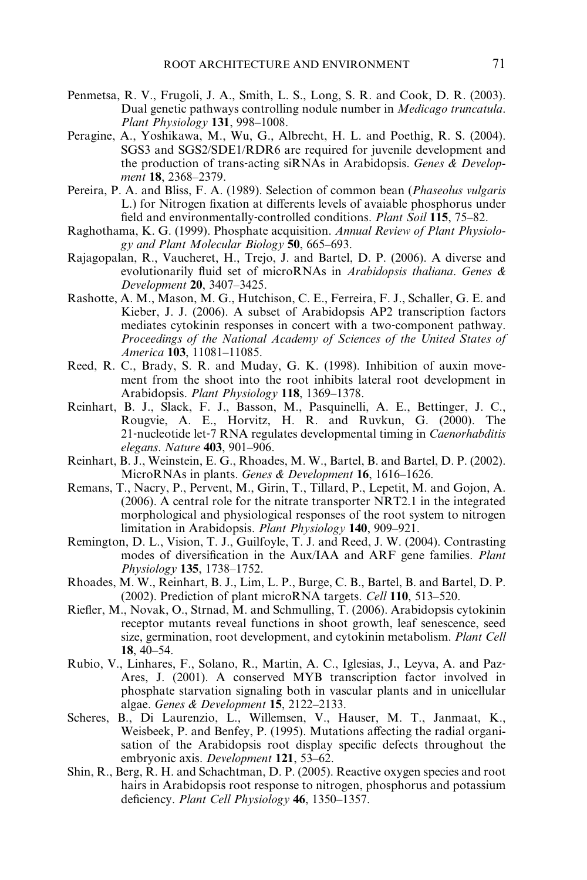- Penmetsa, R. V., Frugoli, J. A., Smith, L. S., Long, S. R. and Cook, D. R. (2003). Dual genetic pathways controlling nodule number in Medicago truncatula. Plant Physiology 131, 998–1008.
- Peragine, A., Yoshikawa, M., Wu, G., Albrecht, H. L. and Poethig, R. S. (2004). SGS3 and SGS2/SDE1/RDR6 are required for juvenile development and the production of trans-acting siRNAs in Arabidopsis. Genes & Development 18, 2368-2379.
- Pereira, P. A. and Bliss, F. A. (1989). Selection of common bean (Phaseolus vulgaris L.) for Nitrogen fixation at differents levels of avaiable phosphorus under field and environmentally-controlled conditions. Plant Soil 115, 75–82.
- Raghothama, K. G. (1999). Phosphate acquisition. Annual Review of Plant Physiology and Plant Molecular Biology 50, 665-693.
- Rajagopalan, R., Vaucheret, H., Trejo, J. and Bartel, D. P. (2006). A diverse and evolutionarily fluid set of microRNAs in Arabidopsis thaliana. Genes & Development 20, 3407–3425.
- Rashotte, A. M., Mason, M. G., Hutchison, C. E., Ferreira, F. J., Schaller, G. E. and Kieber, J. J. (2006). A subset of Arabidopsis AP2 transcription factors mediates cytokinin responses in concert with a two-component pathway. Proceedings of the National Academy of Sciences of the United States of America 103, 11081–11085.
- Reed, R. C., Brady, S. R. and Muday, G. K. (1998). Inhibition of auxin movement from the shoot into the root inhibits lateral root development in Arabidopsis. Plant Physiology 118, 1369–1378.
- Reinhart, B. J., Slack, F. J., Basson, M., Pasquinelli, A. E., Bettinger, J. C., Rougvie, A. E., Horvitz, H. R. and Ruvkun, G. (2000). The 21-nucleotide let-7 RNA regulates developmental timing in Caenorhabditis elegans. Nature 403, 901–906.
- Reinhart, B. J., Weinstein, E. G., Rhoades, M. W., Bartel, B. and Bartel, D. P. (2002). MicroRNAs in plants. Genes & Development 16, 1616–1626.
- Remans, T., Nacry, P., Pervent, M., Girin, T., Tillard, P., Lepetit, M. and Gojon, A. (2006). A central role for the nitrate transporter NRT2.1 in the integrated morphological and physiological responses of the root system to nitrogen limitation in Arabidopsis. *Plant Physiology* 140, 909–921.
- Remington, D. L., Vision, T. J., Guilfoyle, T. J. and Reed, J. W. (2004). Contrasting modes of diversification in the Aux/IAA and ARF gene families. Plant Physiology 135, 1738–1752.
- Rhoades, M. W., Reinhart, B. J., Lim, L. P., Burge, C. B., Bartel, B. and Bartel, D. P. (2002). Prediction of plant microRNA targets. Cell 110, 513–520.
- Riefler, M., Novak, O., Strnad, M. and Schmulling, T. (2006). Arabidopsis cytokinin receptor mutants reveal functions in shoot growth, leaf senescence, seed size, germination, root development, and cytokinin metabolism. Plant Cell 18, 40–54.
- Rubio, V., Linhares, F., Solano, R., Martin, A. C., Iglesias, J., Leyva, A. and Paz‐ Ares, J. (2001). A conserved MYB transcription factor involved in phosphate starvation signaling both in vascular plants and in unicellular algae. Genes & Development 15, 2122–2133.
- Scheres, B., Di Laurenzio, L., Willemsen, V., Hauser, M. T., Janmaat, K., Weisbeek, P. and Benfey, P. (1995). Mutations affecting the radial organisation of the Arabidopsis root display specific defects throughout the embryonic axis. Development 121, 53–62.
- Shin, R., Berg, R. H. and Schachtman, D. P. (2005). Reactive oxygen species and root hairs in Arabidopsis root response to nitrogen, phosphorus and potassium deficiency. Plant Cell Physiology 46, 1350-1357.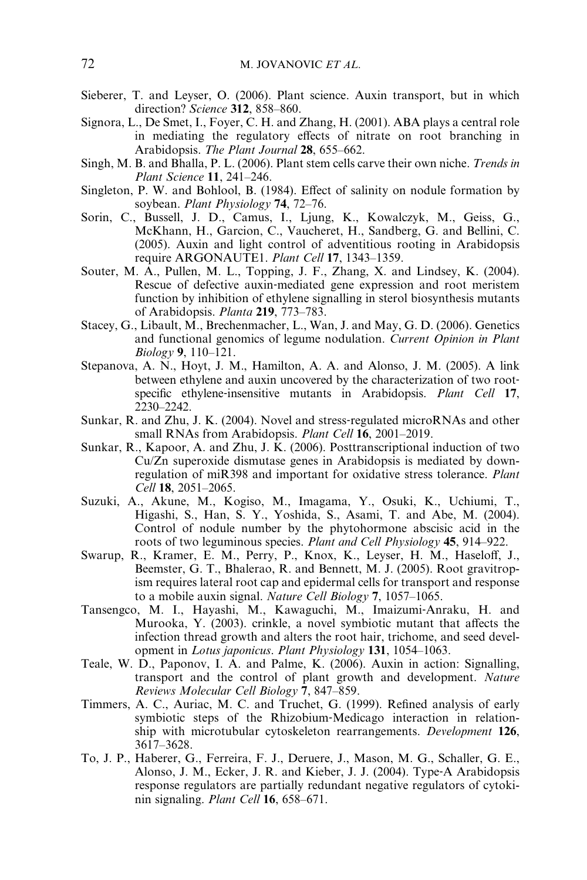- Sieberer, T. and Leyser, O. (2006). Plant science. Auxin transport, but in which direction? Science 312, 858–860.
- Signora, L., De Smet, I., Foyer, C. H. and Zhang, H. (2001). ABA plays a central role in mediating the regulatory effects of nitrate on root branching in Arabidopsis. The Plant Journal 28, 655–662.
- Singh, M. B. and Bhalla, P. L. (2006). Plant stem cells carve their own niche. Trends in Plant Science 11, 241–246.
- Singleton, P. W. and Bohlool, B.  $(1984)$ . Effect of salinity on nodule formation by soybean. Plant Physiology 74, 72–76.
- Sorin, C., Bussell, J. D., Camus, I., Ljung, K., Kowalczyk, M., Geiss, G., McKhann, H., Garcion, C., Vaucheret, H., Sandberg, G. and Bellini, C. (2005). Auxin and light control of adventitious rooting in Arabidopsis require ARGONAUTE1. Plant Cell 17, 1343–1359.
- Souter, M. A., Pullen, M. L., Topping, J. F., Zhang, X. and Lindsey, K. (2004). Rescue of defective auxin‐mediated gene expression and root meristem function by inhibition of ethylene signalling in sterol biosynthesis mutants of Arabidopsis. Planta 219, 773–783.
- Stacey, G., Libault, M., Brechenmacher, L., Wan, J. and May, G. D. (2006). Genetics and functional genomics of legume nodulation. Current Opinion in Plant Biology 9, 110–121.
- Stepanova, A. N., Hoyt, J. M., Hamilton, A. A. and Alonso, J. M. (2005). A link between ethylene and auxin uncovered by the characterization of two rootspecific ethylene-insensitive mutants in Arabidopsis. Plant Cell 17, 2230–2242.
- Sunkar, R. and Zhu, J. K. (2004). Novel and stress-regulated microRNAs and other small RNAs from Arabidopsis. *Plant Cell* 16, 2001–2019.
- Sunkar, R., Kapoor, A. and Zhu, J. K. (2006). Posttranscriptional induction of two Cu/Zn superoxide dismutase genes in Arabidopsis is mediated by downregulation of miR398 and important for oxidative stress tolerance. Plant Cell 18, 2051–2065.
- Suzuki, A., Akune, M., Kogiso, M., Imagama, Y., Osuki, K., Uchiumi, T., Higashi, S., Han, S. Y., Yoshida, S., Asami, T. and Abe, M. (2004). Control of nodule number by the phytohormone abscisic acid in the roots of two leguminous species. Plant and Cell Physiology 45, 914–922.
- Swarup, R., Kramer, E. M., Perry, P., Knox, K., Leyser, H. M., Haseloff, J., Beemster, G. T., Bhalerao, R. and Bennett, M. J. (2005). Root gravitropism requires lateral root cap and epidermal cells for transport and response to a mobile auxin signal. Nature Cell Biology 7, 1057–1065.
- Tansengco, M. I., Hayashi, M., Kawaguchi, M., Imaizumi‐Anraku, H. and Murooka, Y. (2003). crinkle, a novel symbiotic mutant that affects the infection thread growth and alters the root hair, trichome, and seed development in Lotus japonicus. Plant Physiology 131, 1054–1063.
- Teale, W. D., Paponov, I. A. and Palme, K. (2006). Auxin in action: Signalling, transport and the control of plant growth and development. Nature Reviews Molecular Cell Biology 7, 847–859.
- Timmers, A. C., Auriac, M. C. and Truchet, G. (1999). Refined analysis of early symbiotic steps of the Rhizobium‐Medicago interaction in relationship with microtubular cytoskeleton rearrangements. Development 126, 3617–3628.
- To, J. P., Haberer, G., Ferreira, F. J., Deruere, J., Mason, M. G., Schaller, G. E., Alonso, J. M., Ecker, J. R. and Kieber, J. J. (2004). Type‐A Arabidopsis response regulators are partially redundant negative regulators of cytokinin signaling. Plant Cell 16, 658–671.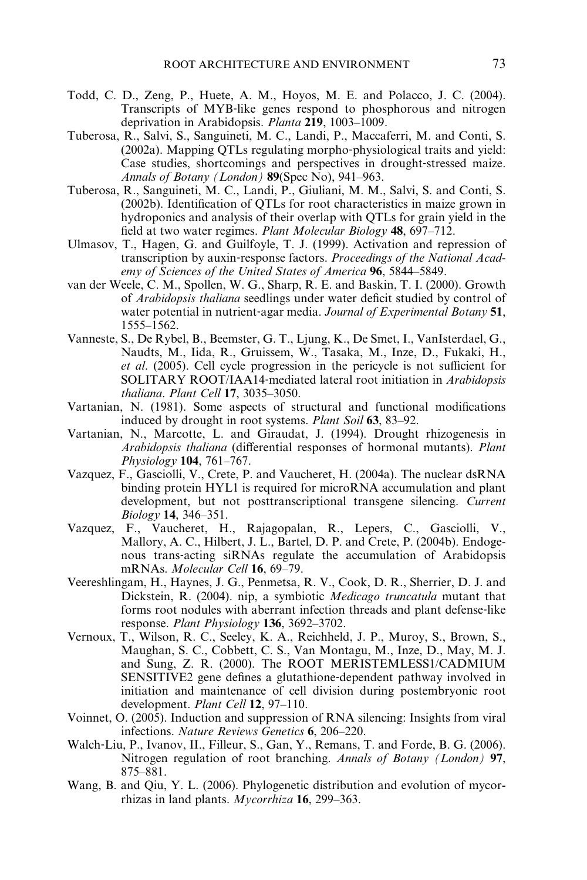- Todd, C. D., Zeng, P., Huete, A. M., Hoyos, M. E. and Polacco, J. C. (2004). Transcripts of MYB‐like genes respond to phosphorous and nitrogen deprivation in Arabidopsis. Planta 219, 1003–1009.
- Tuberosa, R., Salvi, S., Sanguineti, M. C., Landi, P., Maccaferri, M. and Conti, S. (2002a). Mapping QTLs regulating morpho‐physiological traits and yield: Case studies, shortcomings and perspectives in drought‐stressed maize. Annals of Botany (London) 89(Spec No), 941-963.
- Tuberosa, R., Sanguineti, M. C., Landi, P., Giuliani, M. M., Salvi, S. and Conti, S. (2002b). Identification of QTLs for root characteristics in maize grown in hydroponics and analysis of their overlap with QTLs for grain yield in the field at two water regimes. *Plant Molecular Biology* 48, 697–712.
- Ulmasov, T., Hagen, G. and Guilfoyle, T. J. (1999). Activation and repression of transcription by auxin-response factors. Proceedings of the National Academy of Sciences of the United States of America 96, 5844-5849.
- van der Weele, C. M., Spollen, W. G., Sharp, R. E. and Baskin, T. I. (2000). Growth of Arabidopsis thaliana seedlings under water deficit studied by control of water potential in nutrient-agar media. Journal of Experimental Botany 51, 1555–1562.
- Vanneste, S., De Rybel, B., Beemster, G. T., Ljung, K., De Smet, I., VanIsterdael, G., Naudts, M., Iida, R., Gruissem, W., Tasaka, M., Inze, D., Fukaki, H., et al. (2005). Cell cycle progression in the pericycle is not sufficient for SOLITARY ROOT/IAA14‐mediated lateral root initiation in Arabidopsis thaliana. Plant Cell 17, 3035–3050.
- Vartanian, N. (1981). Some aspects of structural and functional modifications induced by drought in root systems. Plant Soil 63, 83-92.
- Vartanian, N., Marcotte, L. and Giraudat, J. (1994). Drought rhizogenesis in Arabidopsis thaliana (differential responses of hormonal mutants). Plant Physiology 104, 761–767.
- Vazquez, F., Gasciolli, V., Crete, P. and Vaucheret, H. (2004a). The nuclear dsRNA binding protein HYL1 is required for microRNA accumulation and plant development, but not posttranscriptional transgene silencing. Current Biology 14, 346–351.
- Vazquez, F., Vaucheret, H., Rajagopalan, R., Lepers, C., Gasciolli, V., Mallory, A. C., Hilbert, J. L., Bartel, D. P. and Crete, P. (2004b). Endogenous trans‐acting siRNAs regulate the accumulation of Arabidopsis mRNAs. Molecular Cell 16, 69-79.
- Veereshlingam, H., Haynes, J. G., Penmetsa, R. V., Cook, D. R., Sherrier, D. J. and Dickstein, R. (2004). nip, a symbiotic Medicago truncatula mutant that forms root nodules with aberrant infection threads and plant defense‐like response. Plant Physiology 136, 3692-3702.
- Vernoux, T., Wilson, R. C., Seeley, K. A., Reichheld, J. P., Muroy, S., Brown, S., Maughan, S. C., Cobbett, C. S., Van Montagu, M., Inze, D., May, M. J. and Sung, Z. R. (2000). The ROOT MERISTEMLESS1/CADMIUM SENSITIVE2 gene defines a glutathione‐dependent pathway involved in initiation and maintenance of cell division during postembryonic root development. Plant Cell 12, 97-110.
- Voinnet, O. (2005). Induction and suppression of RNA silencing: Insights from viral infections. Nature Reviews Genetics 6, 206–220.
- Walch-Liu, P., Ivanov, II., Filleur, S., Gan, Y., Remans, T. and Forde, B. G. (2006). Nitrogen regulation of root branching. Annals of Botany (London) 97, 875–881.
- Wang, B. and Qiu, Y. L. (2006). Phylogenetic distribution and evolution of mycorrhizas in land plants. Mycorrhiza 16, 299–363.